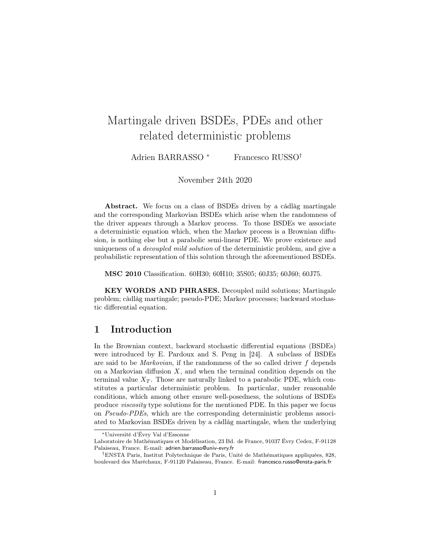# Martingale driven BSDEs, PDEs and other related deterministic problems

Adrien BARRASSO<sup>\*</sup> Francesco RUSSO<sup>†</sup>

November 24th 2020

Abstract. We focus on a class of BSDEs driven by a càdlàg martingale and the corresponding Markovian BSDEs which arise when the randomness of the driver appears through a Markov process. To those BSDEs we associate a deterministic equation which, when the Markov process is a Brownian diffusion, is nothing else but a parabolic semi-linear PDE. We prove existence and uniqueness of a decoupled mild solution of the deterministic problem, and give a probabilistic representation of this solution through the aforementioned BSDEs.

MSC 2010 Classification. 60H30; 60H10; 35S05; 60J35; 60J60; 60J75.

KEY WORDS AND PHRASES. Decoupled mild solutions; Martingale problem; càdlàg martingale; pseudo-PDE; Markov processes; backward stochastic differential equation.

### 1 Introduction

In the Brownian context, backward stochastic differential equations (BSDEs) were introduced by E. Pardoux and S. Peng in [24]. A subclass of BSDEs are said to be *Markovian*, if the randomness of the so called driver  $f$  depends on a Markovian diffusion  $X$ , and when the terminal condition depends on the terminal value  $X_T$ . Those are naturally linked to a parabolic PDE, which constitutes a particular deterministic problem. In particular, under reasonable conditions, which among other ensure well-posedness, the solutions of BSDEs produce viscosity type solutions for the mentioned PDE. In this paper we focus on Pseudo-PDEs, which are the corresponding deterministic problems associated to Markovian BSDEs driven by a càdlàg martingale, when the underlying

<sup>∗</sup>Université d'Évry Val d'Essonne

Laboratoire de Mathématiques et Modélisation, 23 Bd. de France, 91037 Évry Cedex, F-91128 Palaiseau, France. E-mail: adrien.barrasso@univ-evry.fr

<sup>†</sup>ENSTA Paris, Institut Polytechnique de Paris, Unité de Mathématiques appliquées, 828, boulevard des Maréchaux, F-91120 Palaiseau, France. E-mail: francesco.russo@ensta-paris.fr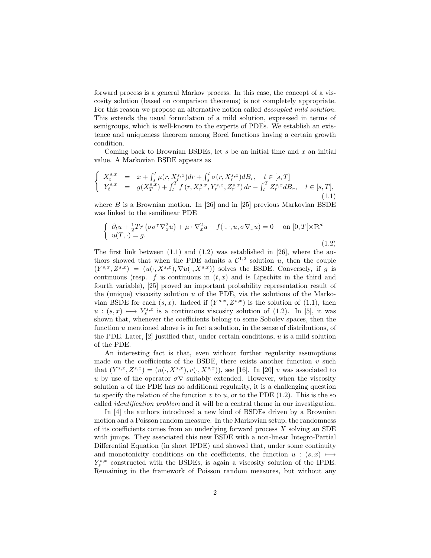forward process is a general Markov process. In this case, the concept of a viscosity solution (based on comparison theorems) is not completely appropriate. For this reason we propose an alternative notion called decoupled mild solution. This extends the usual formulation of a mild solution, expressed in terms of semigroups, which is well-known to the experts of PDEs. We establish an existence and uniqueness theorem among Borel functions having a certain growth condition.

Coming back to Brownian BSDEs, let  $s$  be an initial time and  $x$  an initial value. A Markovian BSDE appears as

$$
\begin{cases}\nX_t^{s,x} = x + \int_s^t \mu(r, X_r^{s,x}) dr + \int_s^t \sigma(r, X_r^{s,x}) dB_r, \quad t \in [s, T] \\
Y_t^{s,x} = g(X_T^{s,x}) + \int_t^T f(r, X_r^{s,x}, Y_r^{s,x}, Z_r^{s,x}) dr - \int_t^T Z_r^{s,x} dB_r, \quad t \in [s, T],\n\end{cases} \tag{1.1}
$$

where  $B$  is a Brownian motion. In [26] and in [25] previous Markovian BSDE was linked to the semilinear PDE

$$
\begin{cases} \partial_t u + \frac{1}{2} Tr \left( \sigma \sigma^\dagger \nabla_x^2 u \right) + \mu \cdot \nabla_x^2 u + f(\cdot, \cdot, u, \sigma \nabla_x u) = 0 & \text{on } [0, T[ \times \mathbb{R}^d] \\ u(T, \cdot) = g. \end{cases}
$$
\n(1.2)

The first link between  $(1.1)$  and  $(1.2)$  was established in [26], where the authors showed that when the PDE admits a  $\mathcal{C}^{1,2}$  solution u, then the couple  $(Y^{s,x}, Z^{s,x}) = (u(\cdot, X^{s,x}), \nabla u(\cdot, X^{s,x}))$  solves the BSDE. Conversely, if g is continuous (resp. f is continuous in  $(t, x)$  and is Lipschitz in the third and fourth variable), [25] proved an important probability representation result of the (unique) viscosity solution  $u$  of the PDE, via the solutions of the Markovian BSDE for each  $(s, x)$ . Indeed if  $(Y^{s,x}, Z^{s,x})$  is the solution of (1.1), then  $u : (s, x) \longmapsto Y_s^{s, x}$  is a continuous viscosity solution of (1.2). In [5], it was shown that, whenever the coefficients belong to some Sobolev spaces, then the function u mentioned above is in fact a solution, in the sense of distributions, of the PDE. Later,  $[2]$  justified that, under certain conditions,  $u$  is a mild solution of the PDE.

An interesting fact is that, even without further regularity assumptions made on the coefficients of the BSDE, there exists another function  $v$  such that  $(Y^{s,x}, Z^{s,x}) = (u(\cdot, X^{s,x}), v(\cdot, X^{s,x}))$ , see [16]. In [20] v was associated to u by use of the operator  $\sigma \nabla$  suitably extended. However, when the viscosity solution  $u$  of the PDE has no additional regularity, it is a challenging question to specify the relation of the function  $v$  to  $u$ , or to the PDE (1.2). This is the so called identification problem and it will be a central theme in our investigation.

In [4] the authors introduced a new kind of BSDEs driven by a Brownian motion and a Poisson random measure. In the Markovian setup, the randomness of its coefficients comes from an underlying forward process  $X$  solving an SDE with jumps. They associated this new BSDE with a non-linear Integro-Partial Differential Equation (in short IPDE) and showed that, under some continuity and monotonicity conditions on the coefficients, the function  $u : (s, x) \longmapsto$  $Y_s^{s,x}$  constructed with the BSDEs, is again a viscosity solution of the IPDE. Remaining in the framework of Poisson random measures, but without any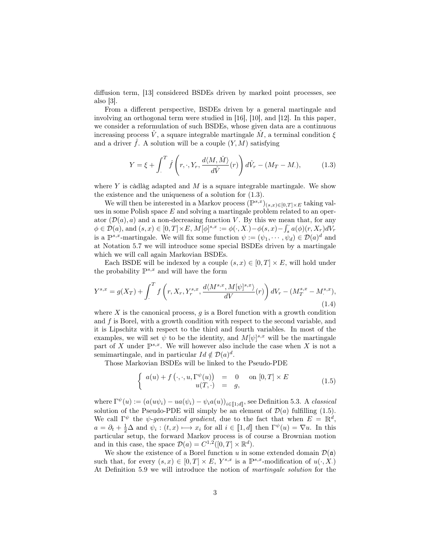diffusion term, [13] considered BSDEs driven by marked point processes, see also  $|3|$ .

From a different perspective, BSDEs driven by a general martingale and involving an orthogonal term were studied in [16], [10], and [12]. In this paper, we consider a reformulation of such BSDEs, whose given data are a continuous increasing process  $\hat{V}$ , a square integrable martingale  $\hat{M}$ , a terminal condition  $\xi$ and a driver  $\hat{f}$ . A solution will be a couple  $(Y, M)$  satisfying

$$
Y = \xi + \int_{.}^{T} \hat{f}\left(r, \cdot, Y_r, \frac{d\langle M, \hat{M}\rangle}{d\hat{V}}(r)\right) d\hat{V}_r - (M_T - M.),\tag{1.3}
$$

where  $Y$  is càdlàg adapted and  $M$  is a square integrable martingale. We show the existence and the uniqueness of a solution for (1.3).

We will then be interested in a Markov process  $(\mathbb{P}^{s,x})_{(s,x)\in[0,T]\times E}$  taking values in some Polish space  $E$  and solving a martingale problem related to an operator  $(\mathcal{D}(a), a)$  and a non-decreasing function V. By this we mean that, for any  $\phi \in \mathcal{D}(a)$ , and  $(s, x) \in [0, T] \times E$ ,  $M[\phi]^{s,x} := \phi(\cdot, X) - \phi(s, x) - \int_s^{\cdot} a(\phi)(r, X_r) dV_r$ is a  $\mathbb{P}^{s,x}$ -martingale. We will fix some function  $\psi := (\psi_1, \dots, \psi_d) \in \mathcal{D}(a)^d$  and at Notation 5.7 we will introduce some special BSDEs driven by a martingale which we will call again Markovian BSDEs.

Each BSDE will be indexed by a couple  $(s, x) \in [0, T] \times E$ , will hold under the probability  $\mathbb{P}^{s,x}$  and will have the form

$$
Y^{s,x} = g(X_T) + \int_{.}^{T} f\left(r, X_r, Y_r^{s,x}, \frac{d\langle M^{s,x}, M[\psi]^{s,x}\rangle}{dV}(r)\right) dV_r - (M_T^{s,x} - M^{s,x}),\tag{1.4}
$$

where  $X$  is the canonical process,  $g$  is a Borel function with a growth condition and  $f$  is Borel, with a growth condition with respect to the second variable, and it is Lipschitz with respect to the third and fourth variables. In most of the examples, we will set  $\psi$  to be the identity, and  $M[\psi]^{s,x}$  will be the martingale part of X under  $\mathbb{P}^{s,x}$ . We will however also include the case when X is not a semimartingale, and in particular  $Id \notin \mathcal{D}(a)^d$ .

Those Markovian BSDEs will be linked to the Pseudo-PDE

$$
\begin{cases}\n a(u) + f(\cdot, \cdot, u, \Gamma^{\psi}(u)) &= 0 \quad \text{on } [0, T] \times E \\
 u(T, \cdot) &= g,\n\end{cases}
$$
\n(1.5)

where  $\Gamma^{\psi}(u) := (a(u\psi_i) - ua(\psi_i) - \psi_i a(u))_{i \in [\![1;d]\!]}$ , see Definition 5.3. A classical solution of the Pseudo-PDE will simply be an element of  $\mathcal{D}(a)$  fulfilling (1.5). We call  $\Gamma^{\psi}$  the *ψ-generalized gradient*, due to the fact that when  $E = \mathbb{R}^{d}$ ,  $a = \partial_t + \frac{1}{2}\Delta$  and  $\psi_i : (t, x) \longrightarrow x_i$  for all  $i \in [1, d]$  then  $\Gamma^{\psi}(u) = \nabla u$ . In this particular setup, the forward Markov process is of course a Brownian motion and in this case, the space  $\mathcal{D}(a) = C^{1,2}([0,T] \times \mathbb{R}^d)$ .

We show the existence of a Borel function u in some extended domain  $\mathcal{D}(\mathfrak{a})$ such that, for every  $(s, x) \in [0, T] \times E$ ,  $Y^{s, x}$  is a  $\mathbb{P}^{s, x}$ -modification of  $u(\cdot, X)$ . At Definition 5.9 we will introduce the notion of martingale solution for the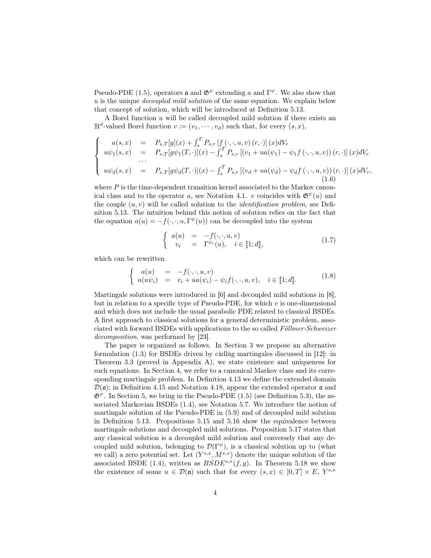Pseudo-PDE (1.5), operators  $\mathfrak a$  and  $\mathfrak G^\psi$  extending a and  $\Gamma^\psi$ . We also show that  $u$  is the unique *decoupled mild solution* of the same equation. We explain below that concept of solution, which will be introduced at Definition 5.13.

A Borel function  $u$  will be called decoupled mild solution if there exists an  $\mathbb{R}^d$ -valued Borel function  $v := (v_1, \dots, v_d)$  such that, for every  $(s, x)$ ,

$$
\begin{cases}\nu(s,x) &= P_{s,T}[g](x) + \int_s^T P_{s,r}[f(\cdot,\cdot,u,v)(r,\cdot)](x)dV_r \\
u\psi_1(s,x) &= P_{s,T}[g\psi_1(T,\cdot)](x) - \int_s^T P_{s,r}[ (v_1 + ua(\psi_1) - \psi_1 f(\cdot,\cdot,u,v)) (r,\cdot)](x)dV_r \\
\cdots \\
u\psi_d(s,x) &= P_{s,T}[g\psi_d(T,\cdot)](x) - \int_s^T P_{s,r}[ (v_d + ua(\psi_d) - \psi_d f(\cdot,\cdot,u,v)) (r,\cdot)](x)dV_r,\n\end{cases}
$$

where  $P$  is the time-dependent transition kernel associated to the Markov canonical class and to the operator a, see Notation 4.1. v coincides with  $\mathfrak{G}^{\psi}(u)$  and the couple  $(u, v)$  will be called solution to the *identification problem*, see Definition 5.13. The intuition behind this notion of solution relies on the fact that the equation  $a(u) = -f(\cdot, \cdot, u, \Gamma^{\psi}(u))$  can be decoupled into the system

$$
\begin{cases}\n a(u) = -f(\cdot, \cdot, u, v) \\
 v_i = \Gamma^{\psi_i}(u), \quad i \in [\![1; d]\!],\n\end{cases}
$$
\n(1.7)

which can be rewritten

$$
\begin{cases}\na(u) = -f(\cdot, \cdot, u, v) \\
a(u\psi_i) = v_i + ua(\psi_i) - \psi_i f(\cdot, \cdot, u, v), \quad i \in [\![1; d]\!].\n\end{cases}
$$
\n(1.8)

Martingale solutions were introduced in [6] and decoupled mild solutions in [8], but in relation to a specific type of Pseudo-PDE, for which  $v$  is one-dimensional and which does not include the usual parabolic PDE related to classical BSDEs. A first approach to classical solutions for a general deterministic problem, associated with forward BSDEs with applications to the so called Föllmer-Schweizer decomposition, was performed by [23].

The paper is organized as follows. In Section 3 we propose an alternative formulation (1.3) for BSDEs driven by càdlàg martingales discussed in [12]: in Theorem 3.3 (proved in Appendix A), we state existence and uniqueness for such equations. In Section 4, we refer to a canonical Markov class and its corresponding martingale problem. In Definition 4.13 we define the extended domain  $\mathcal{D}(\mathfrak{a})$ ; in Definition 4.15 and Notation 4.18, appear the extended operator  $\mathfrak{a}$  and  $\mathfrak{G}^{\psi}$ . In Section 5, we bring in the Pseudo-PDE (1.5) (see Definition 5.3), the associated Markovian BSDEs (1.4), see Notation 5.7. We introduce the notion of martingale solution of the Pseudo-PDE in (5.9) and of decoupled mild solution in Definition 5.13. Propositions 5.15 and 5.16 show the equivalence between martingale solutions and decoupled mild solutions. Proposition 5.17 states that any classical solution is a decoupled mild solution and conversely that any decoupled mild solution, belonging to  $\mathcal{D}(\Gamma^{\psi})$ , is a classical solution up to (what we call) a zero potential set. Let  $(Y^{s,x}, M^{s,x})$  denote the unique solution of the associated BSDE (1.4), written as  $BSDE^{s,x}(f,g)$ . In Theorem 5.18 we show the existence of some  $u \in \mathcal{D}(\mathfrak{a})$  such that for every  $(s, x) \in [0, T] \times E$ ,  $Y^{s, x}$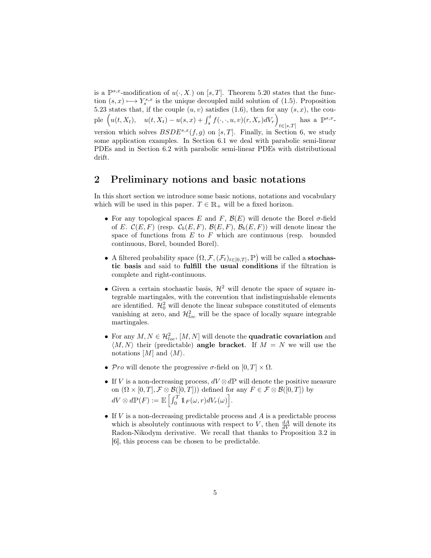is a  $\mathbb{P}^{s,x}$ -modification of  $u(\cdot, X)$  on [s, T]. Theorem 5.20 states that the function  $(s, x) \mapsto Y_s^{s,x}$  is the unique decoupled mild solution of (1.5). Proposition 5.23 states that, if the couple  $(u, v)$  satisfies (1.6), then for any  $(s, x)$ , the couple  $\left(u(t, X_t), u(t, X_t) - u(s, x) + \int_s^t f(\cdot, \cdot, u, v)(r, X_r) dV_r\right)$  $t \in [s,T]$ has a  $\mathbb{P}^{s,x}$ version which solves  $BSDE^{s,x}(f,g)$  on [s, T]. Finally, in Section 6, we study some application examples. In Section 6.1 we deal with parabolic semi-linear PDEs and in Section 6.2 with parabolic semi-linear PDEs with distributional drift.

### 2 Preliminary notions and basic notations

In this short section we introduce some basic notions, notations and vocabulary which will be used in this paper.  $T \in \mathbb{R}_+$  will be a fixed horizon.

- For any topological spaces E and F,  $\mathcal{B}(E)$  will denote the Borel  $\sigma$ -field of E.  $\mathcal{C}(E, F)$  (resp.  $\mathcal{C}_b(E, F), \mathcal{B}(E, F), \mathcal{B}_b(E, F))$  will denote linear the space of functions from  $E$  to  $F$  which are continuous (resp. bounded continuous, Borel, bounded Borel).
- A filtered probability space  $(\Omega, \mathcal{F}, (\mathcal{F}_t)_{t\in[0,T]}, \mathbb{P})$  will be called a **stochas**tic basis and said to fulfill the usual conditions if the filtration is complete and right-continuous.
- Given a certain stochastic basis,  $\mathcal{H}^2$  will denote the space of square integrable martingales, with the convention that indistinguishable elements are identified.  $\mathcal{H}_0^2$  will denote the linear subspace constituted of elements vanishing at zero, and  $\mathcal{H}_{loc}^2$  will be the space of locally square integrable martingales.
- For any  $M, N \in \mathcal{H}_{loc}^2$ ,  $[M, N]$  will denote the **quadratic covariation** and  $\langle M, N \rangle$  their (predictable) angle bracket. If  $M = N$  we will use the notations  $[M]$  and  $\langle M \rangle$ .
- Pro will denote the progressive  $\sigma$ -field on  $[0, T] \times \Omega$ .
- If V is a non-decreasing process,  $dV \otimes dP$  will denote the positive measure on  $(\Omega \times [0, T], \mathcal{F} \otimes \mathcal{B}([0, T]))$  defined for any  $F \in \mathcal{F} \otimes \mathcal{B}([0, T])$  by  $dV\otimes d\mathbb{P}(F) := \mathbb{E}\left[\int_0^T 1\!\!1_F(\omega,r) dV_r(\omega)\right].$
- $\bullet$  If V is a non-decreasing predictable process and A is a predictable process which is absolutely continuous with respect to V, then  $\frac{dA}{dV}$  will denote its Radon-Nikodym derivative. We recall that thanks to Proposition 3.2 in [6], this process can be chosen to be predictable.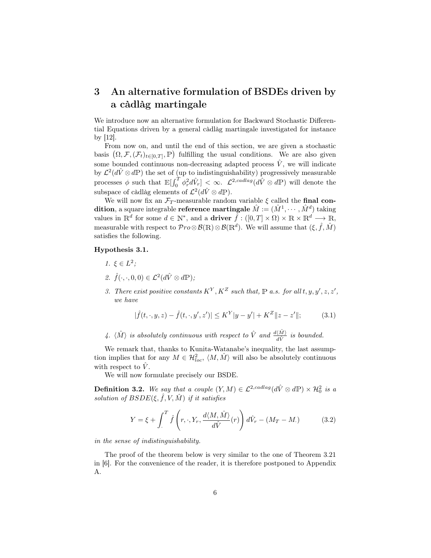# 3 An alternative formulation of BSDEs driven by a càdlàg martingale

We introduce now an alternative formulation for Backward Stochastic Differential Equations driven by a general càdlàg martingale investigated for instance by [12].

From now on, and until the end of this section, we are given a stochastic basis  $(\Omega, \mathcal{F}, (\mathcal{F}_t)_{t \in [0,T]}, \mathbb{P})$  fulfilling the usual conditions. We are also given some bounded continuous non-decreasing adapted process  $\hat{V}$ , we will indicate by  $\mathcal{L}^2(d\hat{V}\otimes d\mathbb{P})$  the set of (up to indistinguishability) progressively measurable processes  $\phi$  such that  $\mathbb{E}[\int_0^T \phi_r^2 d\hat{V}_r] < \infty$ .  $\mathcal{L}^{2, cadlag}(d\hat{V} \otimes d\mathbb{P})$  will denote the subspace of càdlàg elements of  $\mathcal{L}^2(d\hat{V} \otimes d\mathbb{P})$ .

We will now fix an  $\mathcal{F}_T$ -measurable random variable  $\xi$  called the final condition, a square integrable reference martingale  $\hat{M} := (\hat{M}^1, \cdots, \hat{M}^d)$  taking values in  $\mathbb{R}^d$  for some  $d \in \mathbb{N}^*$ , and a **driver**  $\hat{f} : ([0, T] \times \Omega) \times \mathbb{R} \times \mathbb{R}^d \longrightarrow \mathbb{R}$ , measurable with respect to  $\mathcal{P}ro\otimes\mathcal{B}(\mathbb{R})\otimes\mathcal{B}(\mathbb{R}^d)$ . We will assume that  $(\xi, \hat{f}, \hat{M})$ satisfies the following.

### Hypothesis 3.1.

- 1.  $\xi \in L^2$ ;
- 2.  $\hat{f}(\cdot,\cdot,0,0) \in \mathcal{L}^2(d\hat{V} \otimes d\mathbb{P});$
- 3. There exist positive constants  $K^Y, K^Z$  such that,  $\mathbb P$  a.s. for all  $t, y, y', z, z'$ , we have

$$
|\hat{f}(t,\cdot,y,z) - \hat{f}(t,\cdot,y',z')| \le K^Y |y - y'| + K^Z \|z - z'\|; \tag{3.1}
$$

4.  $\langle \hat{M} \rangle$  is absolutely continuous with respect to  $\hat{V}$  and  $\frac{d\langle \hat{M} \rangle}{d\hat{V}}$  is bounded.

We remark that, thanks to Kunita-Watanabe's inequality, the last assumption implies that for any  $M \in \mathcal{H}_{loc}^2$ ,  $\langle M, \hat{M} \rangle$  will also be absolutely continuous with respect to  $V$ .

We will now formulate precisely our BSDE.

**Definition 3.2.** We say that a couple  $(Y, M) \in \mathcal{L}^{2, cadlag}(d\hat{V} \otimes d\mathbb{P}) \times \mathcal{H}_0^2$  is a solution of  $BSDE(\xi, \hat{f}, V, \hat{M})$  if it satisfies

$$
Y = \xi + \int_{.}^{T} \hat{f}\left(r, \cdot, Y_r, \frac{d\langle M, \hat{M}\rangle}{d\hat{V}}(r)\right) d\hat{V}_r - (M_T - M.)
$$
 (3.2)

in the sense of indistinguishability.

The proof of the theorem below is very similar to the one of Theorem 3.21 in [6]. For the convenience of the reader, it is therefore postponed to Appendix A.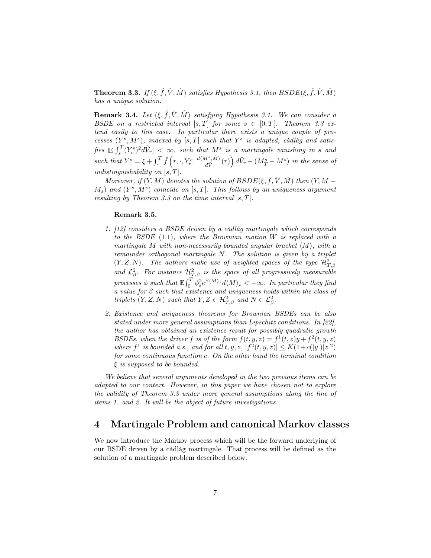**Theorem 3.3.** If  $(\xi, \hat{f}, \hat{V}, \hat{M})$  satisfies Hypothesis 3.1, then  $BSDE(\xi, \hat{f}, \hat{V}, \hat{M})$ has a unique solution.

**Remark 3.4.** Let  $(\xi, \hat{f}, \hat{V}, \hat{M})$  satisfying Hypothesis 3.1. We can consider a BSDE on a restricted interval  $[s, T]$  for some  $s \in [0, T]$ . Theorem 3.3 extend easily to this case. In particular there exists a unique couple of processes  $(Y^s, M^s)$ , indexed by [s, T] such that  $Y^s$  is adapted, càdlàg and satisfies  $\mathbb{E}[\int_{s}^{T}(Y_{r}^{s})^{2}d\hat{V}_{r}] < \infty$ , such that  $M^{s}$  is a martingale vanishing in s and  $\int_s^T (Y_r^s)^2 d\hat{V}_r$  <  $\infty$ , such that  $M^s$ such that  $Y^s = \xi + \int_{\cdot}^{T} \hat{f}(r, \cdot, Y_r^s, \frac{d\langle M^s, \hat{M} \rangle}{d\hat{V}})$  $\frac{d^s \hat{M}}{d\hat{V}}(r)\bigg)\,d\hat{V}_r-(M_T^s-M_\cdot^s)\,$  in the sense of indistinguishability on  $[s, T]$ .

Moreover, if  $(Y, M)$  denotes the solution of  $BSDE(\xi, \hat{f}, \hat{V}, \hat{M})$  then  $(Y, M, (M_s)$  and  $(Y^s, M^s)$  coincide on  $[s, T]$ . This follows by an uniqueness argument resulting by Theorem 3.3 on the time interval  $[s, T]$ .

#### Remark 3.5.

- 1. [12] considers a BSDE driven by a càdlàg martingale which corresponds to the BSDE (1.1), where the Brownian motion W is replaced with a martingale M with non-necessarily bounded angular bracket  $\langle M \rangle$ , with a remainder orthogonal martingale N. The solution is given by a triplet  $(Y, Z, N)$ . The authors make use of weighted spaces of the type  $\mathcal{H}^2_{T, \beta}$ and  $\mathcal{L}_{\beta}^2$ . For instance  $\mathcal{H}_{T,\beta}^2$  is the space of all progressively measurable processes  $\phi$  such that  $\mathbb{E}\int_0^T \phi_s^2 e^{\beta \langle M \rangle_s} d\langle M \rangle_s < +\infty$ . In particular they find a value for  $\beta$  such that existence and uniqueness holds within the class of triplets  $(Y, Z, N)$  such that  $Y, Z \in \mathcal{H}_{T, \beta}^2$  and  $N \in \mathcal{L}_{\beta}^2$ .
- 2. Existence and uniqueness theorems for Brownian BSDEs can be also stated under more general assumptions than Lipschitz conditions. In [22], the author has obtained an existence result for possibly quadratic growth BSDEs, when the driver f is of the form  $f(t, y, z) = f^1(t, z)y + f^2(t, y, z)$ where  $f^1$  is bounded a.s., and for all t, y, z,  $|f^2(t, y, z)| \leq K(1+c(|y|)|z|^2)$ for some continuous function c. On the other hand the terminal condition  $\xi$  is supposed to be bounded.

We believe that several arguments developed in the two previous items can be adapted to our context. However, in this paper we have chosen not to explore the validity of Theorem 3.3 under more general assumptions along the line of items 1. and 2. It will be the object of future investigations.

### 4 Martingale Problem and canonical Markov classes

We now introduce the Markov process which will be the forward underlying of our BSDE driven by a càdlàg martingale. That process will be defined as the solution of a martingale problem described below.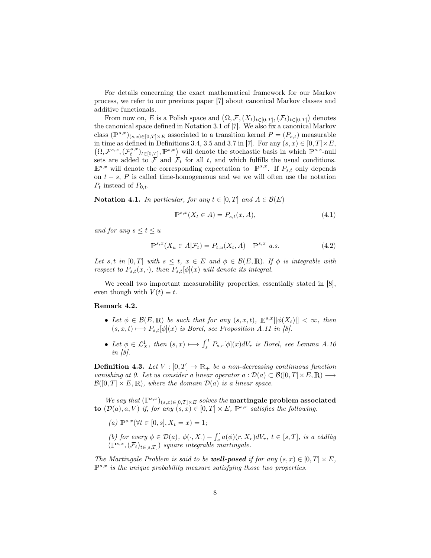For details concerning the exact mathematical framework for our Markov process, we refer to our previous paper [7] about canonical Markov classes and additive functionals.

From now on, E is a Polish space and  $(\Omega, \mathcal{F}, (X_t)_{t\in[0,T]}, (\mathcal{F}_t)_{t\in[0,T]})$  denotes the canonical space defined in Notation 3.1 of [7]. We also fix a canonical Markov class  $(\mathbb{P}^{s,x})_{(s,x)\in[0,T]\times E}$  associated to a transition kernel  $P=(P_{s,t})$  measurable in time as defined in Definitions 3.4, 3.5 and 3.7 in [7]. For any  $(s, x) \in [0, T] \times E$ ,  $(\Omega, \mathcal{F}^{s,x},(\mathcal{F}^{s,x}_t)_{t\in[0,T]}, \mathbb{P}^{s,x})$  will denote the stochastic basis in which  $\mathbb{P}^{s,x}$ -null sets are added to  $\mathcal F$  and  $\mathcal F_t$  for all t, and which fulfills the usual conditions.  $\mathbb{E}^{s,x}$  will denote the corresponding expectation to  $\mathbb{P}^{s,x}$ . If  $P_{s,t}$  only depends on  $t - s$ , P is called time-homogeneous and we we will often use the notation  $P_t$  instead of  $P_{0,t}$ .

Notation 4.1. In particular, for any  $t \in [0, T]$  and  $A \in \mathcal{B}(E)$ 

$$
\mathbb{P}^{s,x}(X_t \in A) = P_{s,t}(x,A),\tag{4.1}
$$

and for any  $s \leq t \leq u$ 

$$
\mathbb{P}^{s,x}(X_u \in A | \mathcal{F}_t) = P_{t,u}(X_t, A) \quad \mathbb{P}^{s,x} \quad a.s.
$$
\n
$$
(4.2)
$$

Let s, t in [0, T] with  $s \leq t$ ,  $x \in E$  and  $\phi \in \mathcal{B}(E,\mathbb{R})$ . If  $\phi$  is integrable with respect to  $P_{s,t}(x, \cdot)$ , then  $P_{s,t}[\phi](x)$  will denote its integral.

We recall two important measurability properties, essentially stated in [8], even though with  $V(t) \equiv t$ .

#### Remark 4.2.

- Let  $\phi \in \mathcal{B}(E,\mathbb{R})$  be such that for any  $(s,x,t)$ ,  $\mathbb{E}^{s,x}[\phi(X_t)]] < \infty$ , then  $(s, x, t) \longmapsto P_{s,t}[\phi](x)$  is Borel, see Proposition A.11 in [8].
- Let  $\phi \in \mathcal{L}_X^1$ , then  $(s, x) \mapsto \int_s^T P_{s,r}[\phi](x) dV_r$  is Borel, see Lemma A.10 in [8].

**Definition 4.3.** Let  $V : [0, T] \to \mathbb{R}_+$  be a non-decreasing continuous function vanishing at 0. Let us consider a linear operator  $a : \mathcal{D}(a) \subset \mathcal{B}([0,T] \times E, \mathbb{R}) \longrightarrow$  $\mathcal{B}([0,T] \times E,\mathbb{R})$ , where the domain  $\mathcal{D}(a)$  is a linear space.

We say that  $(\mathbb{P}^{s,x})_{(s,x)\in[0,T]\times E}$  solves the **martingale problem associated** to  $(\mathcal{D}(a), a, V)$  if, for any  $(s, x) \in [0, T] \times E$ ,  $\mathbb{P}^{s,x}$  satisfies the following.

(a)  $\mathbb{P}^{s,x}(\forall t \in [0,s], X_t = x) = 1;$ 

(b) for every  $\phi \in \mathcal{D}(a)$ ,  $\phi(\cdot, X) - \int_s^s a(\phi)(r, X_r) dV_r$ ,  $t \in [s, T]$ , is a càdlàg  $(\mathbb{P}^{s,x},(\mathcal{F}_t)_{t\in [s,T]})$  square integrable martingale.

The Martingale Problem is said to be **well-posed** if for any  $(s, x) \in [0, T] \times E$ .  $\mathbb{P}^{s,x}$  is the unique probability measure satisfying those two properties.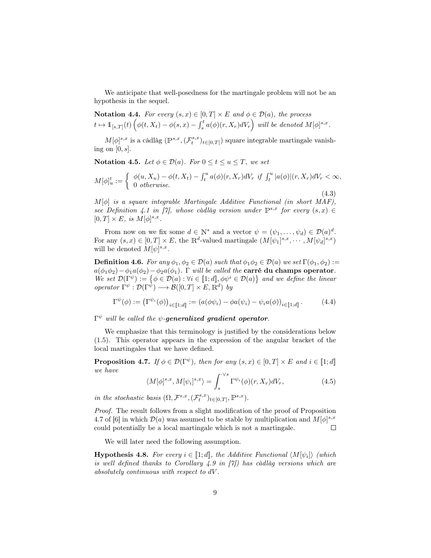We anticipate that well-posedness for the martingale problem will not be an hypothesis in the sequel.

Notation 4.4. For every  $(s, x) \in [0, T] \times E$  and  $\phi \in \mathcal{D}(a)$ , the process  $t\mapsto \mathbb{1}_{[s,T]}(t) \left(\phi(t,X_t)-\phi(s,x)-\int_s^t a(\phi)(r,X_r)dV_r\right) \text{ will be denoted } M[\phi]^{s,x}.$ 

 $M[\phi]^{s,x}$  is a càdlàg  $(\mathbb{P}^{s,x},(\mathcal{F}^{s,x}_t)_{t\in[0,T]})$  square integrable martingale vanishing on  $[0, s]$ .

Notation 4.5. Let  $\phi \in \mathcal{D}(a)$ . For  $0 \le t \le u \le T$ , we set

$$
M[\phi]_u^t := \begin{cases} \phi(u, X_u) - \phi(t, X_t) - \int_t^u a(\phi)(r, X_r) dV_r & \text{if } \int_t^u |a(\phi)|(r, X_r) dV_r < \infty, \\ 0 & \text{otherwise.} \end{cases}
$$

(4.3)

 $M[\phi]$  is a square integrable Martingale Additive Functional (in short MAF), see Definition 4.1 in [7], whose càdlàg version under  $\mathbb{P}^{s,x}$  for every  $(s,x) \in$  $[0,T]\times E, \;is \;M[\phi]^{s,x}.$ 

From now on we fix some  $d \in \mathbb{N}^*$  and a vector  $\psi = (\psi_1, \dots, \psi_d) \in \mathcal{D}(a)^d$ . For any  $(s, x) \in [0, T] \times E$ , the R<sup>d</sup>-valued martingale  $(M[\psi_1]^{s,x}, \cdots, M[\psi_d]^{s,x})$ will be denoted  $M[\psi]^{s,x}$ .

**Definition 4.6.** For any  $\phi_1, \phi_2 \in \mathcal{D}(a)$  such that  $\phi_1 \phi_2 \in \mathcal{D}(a)$  we set  $\Gamma(\phi_1, \phi_2)$ :  $a(\phi_1\phi_2)-\phi_1a(\phi_2)-\phi_2a(\phi_1)$ . Γ will be called the **carré du champs operator**. We set  $\mathcal{D}(\Gamma^{\psi}) := \{ \phi \in \mathcal{D}(a) : \forall i \in [1; d], \phi \psi^i \in \mathcal{D}(a) \}$  and we define the linear operator  $\Gamma^{\psi} : \mathcal{D}(\Gamma^{\psi}) \longrightarrow \mathcal{B}([0,T] \times E, \mathbb{R}^d)$  by

$$
\Gamma^{\psi}(\phi) := (\Gamma^{\psi_i}(\phi))_{i \in [\![1;d]\!]} := (a(\phi \psi_i) - \phi a(\psi_i) - \psi_i a(\phi))_{i \in [\![1;d]\!]}.
$$
 (4.4)

 $\Gamma^\psi$  will be called the  $\psi$ -generalized gradient operator.

We emphasize that this terminology is justified by the considerations below (1.5). This operator appears in the expression of the angular bracket of the local martingales that we have defined.

**Proposition 4.7.** If  $\phi \in \mathcal{D}(\Gamma^{\psi})$ , then for any  $(s, x) \in [0, T] \times E$  and  $i \in [1; d]$ we have

$$
\langle M[\phi]^{s,x}, M[\psi_i]^{s,x} \rangle = \int_s^{\cdot \vee s} \Gamma^{\psi_i}(\phi)(r, X_r) dV_r, \tag{4.5}
$$

in the stochastic basis  $(\Omega, \mathcal{F}^{s,x}, (\mathcal{F}^{s,x}_t)_{t \in [0,T]}, \mathbb{P}^{s,x}).$ 

Proof. The result follows from a slight modification of the proof of Proposition 4.7 of [6] in which  $\mathcal{D}(a)$  was assumed to be stable by multiplication and  $M[\phi]^{s,x}$ could potentially be a local martingale which is not a martingale.  $\Box$ 

We will later need the following assumption.

**Hypothesis 4.8.** For every  $i \in [\![1;d]\!]$ , the Additive Functional  $\langle M[\psi_i] \rangle$  (which is well defined thanks to Corollary  $\angle 4.9$  in  $\boxed{7}$ ) has càdlàg versions which are absolutely continuous with respect to dV .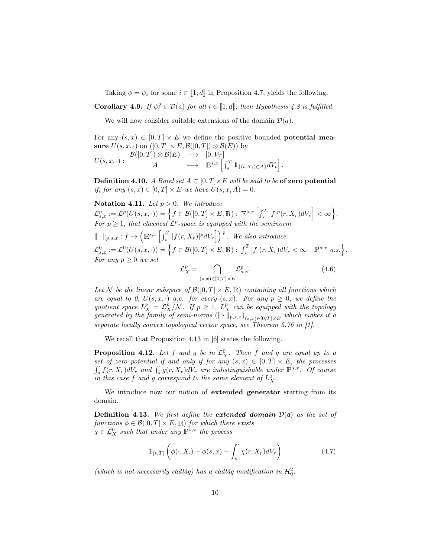Taking  $\phi = \psi_i$  for some  $i \in [1; d]$  in Proposition 4.7, yields the following.

**Corollary 4.9.** If  $\psi_i^2 \in \mathcal{D}(a)$  for all  $i \in [\![1;d]\!]$ , then Hypothesis 4.8 is fulfilled.

We will now consider suitable extensions of the domain  $\mathcal{D}(a)$ .

For any  $(s, x) \in [0, T] \times E$  we define the positive bounded **potential measure**  $U(s, x, \cdot)$  on  $([0, T] \times E, \mathcal{B}([0, T]) \otimes \mathcal{B}(E))$  by sure  $U(s, x, \cdot)$  on  $([0, T] \times E, \mathcal{B}([0, T]) \otimes \mathcal{B}(E))$  by

 $U(s,x,\cdot):$  $\mathcal{B}([0,T])\otimes \mathcal{B}(E)\quad\longrightarrow\quad [0,V_T]$ A  $\mapsto \mathbb{E}^{s,x} \left[ \int_s^T \mathbb{1}_{\{(t,X_t) \in A\}} dV_t \right].$ 

**Definition 4.10.** A Borel set  $A \subset [0, T] \times E$  will be said to be of zero potential if, for any  $(s, x) \in [0, T] \times E$  we have  $U(s, x, A) = 0$ .

Notation 4.11. Let  $p > 0$ . We introduce  $\mathcal{L}^{p}_{s,x}:=\mathcal{L}^{p}(U(s,x,\cdot))=\Big\{f\in\mathcal{B}([0,T]\times E,\mathbb{R}):\;\mathbb{E}^{s,x}\left[\int_{s}^{T}|f|^{p}(r,X_{r})dV_{r}\right]<\infty\Big\}.$ For  $p \geq 1$ , that classical  $\mathcal{L}^p$ -space is equipped with the seminorm  $\| \cdot \|_{p,s,x} : f \mapsto \left( \mathbb{E}^{s,x} \left[ \int_s^T |f(r,X_r)|^p dV_r \right] \right)^{\frac{1}{p}}$ . We also introduce  $\mathcal{L}^0_{s,x}:=\mathcal{L}^0(U(s,x,\cdot))=\Big\{f\in\mathcal{B}([0,T]\times E,\mathbb{R}):\,\int_s^T|f|(r,X_r)dV_r<\infty\quad\mathbb{P}^{s,x}\,\,a.s.\Big\}.$ For any  $p \geq 0$  we set  $\mathcal{L}$ p ∩ p

$$
\mathcal{L}_X^p = \bigcap_{(s,x)\in[0,T]\times E} \mathcal{L}_{s,x}^p. \tag{4.6}
$$

Let N be the linear subspace of  $\mathcal{B}([0,T] \times E, \mathbb{R})$  containing all functions which are equal to 0,  $U(s, x, \cdot)$  a.e. for every  $(s, x)$ . For any  $p \geq 0$ , we define the quotient space  $L_X^p = \mathcal{L}_X^p/\mathcal{N}$ . If  $p \geq 1$ ,  $L_X^p$  can be equipped with the topology generated by the family of semi-norms  $(\|\cdot\|_{p,s,x})_{(s,x)\in[0,T]\times E}$  which makes it a separate locally convex topological vector space, see Theorem 5.76 in [1].

We recall that Proposition 4.13 in [6] states the following.

**Proposition 4.12.** Let f and g be in  $\mathcal{L}_X^0$ . Then f and g are equal up to a set of zero potential if and only if for any  $(s, x) \in [0, T] \times E$ , the processes  $\int_{s} f(r, X_r) dV_r$  and  $\int_{s} g(r, X_r) dV_r$  are indistinguishable under  $\mathbb{P}^{s,x}$ . Of course in this case f and g correspond to the same element of  $L_X^0$ .

We introduce now our notion of **extended generator** starting from its domain.

**Definition 4.13.** We first define the **extended domain**  $\mathcal{D}(\mathfrak{a})$  as the set of functions  $\phi \in \mathcal{B}([0,T] \times E, \mathbb{R})$  for which there exists  $\chi \in \mathcal{L}_X^0$  such that under any  $\mathbb{P}^{s,x}$  the process

$$
\mathbb{1}_{[s,T]}\left(\phi(\cdot,X_\cdot)-\phi(s,x)-\int_s^\cdot \chi(r,X_r)dV_r\right) \tag{4.7}
$$

(which is not necessarily càdlàg) has a càdlàg modification in  $\mathcal{H}^2_0$ .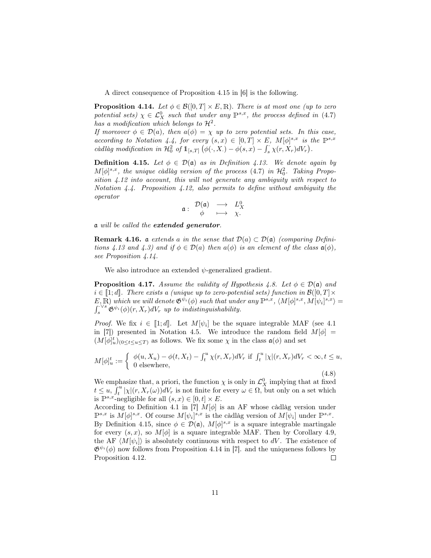A direct consequence of Proposition 4.15 in [6] is the following.

**Proposition 4.14.** Let  $\phi \in \mathcal{B}([0,T] \times E,\mathbb{R})$ . There is at most one (up to zero potential sets)  $\chi \in \mathcal{L}_X^0$  such that under any  $\mathbb{P}^{s,x}$ , the process defined in (4.7) has a modification which belongs to  $\mathcal{H}^2$ .

If moreover  $\phi \in \mathcal{D}(a)$ , then  $a(\phi) = \chi$  up to zero potential sets. In this case, according to Notation 4.4, for every  $(s, x) \in [0, T] \times E$ ,  $M[\phi]^{s,x}$  is the  $\mathbb{P}^{s,x}$ càdlàg modification in  $\mathcal{H}^2_0$  of  $1_{[s,T]}(\phi(\cdot,X_\cdot)-\phi(s,x)-\int_s^s \chi(r,X_r)dV_r$ .

**Definition 4.15.** Let  $\phi \in \mathcal{D}(\mathfrak{a})$  as in Definition 4.13. We denote again by  $M[\phi]^{s,x}$ , the unique càdlàg version of the process (4.7) in  $\mathcal{H}^2_0$ . Taking Proposition 4.12 into account, this will not generate any ambiguity with respect to Notation 4.4. Proposition 4.12, also permits to define without ambiguity the operator

$$
\mathfrak{a}:\begin{array}{ccc}\mathcal{D}(\mathfrak{a})&\longrightarrow&L_X^0\\ \phi&\longmapsto&\chi.\end{array}
$$

a will be called the extended generator.

**Remark 4.16.** a extends a in the sense that  $\mathcal{D}(a) \subset \mathcal{D}(a)$  (comparing Definitions 4.13 and 4.3) and if  $\phi \in \mathcal{D}(a)$  then  $a(\phi)$  is an element of the class  $a(\phi)$ , see Proposition 4.14.

We also introduce an extended  $\psi$ -generalized gradient.

**Proposition 4.17.** Assume the validity of Hypothesis 4.8. Let  $\phi \in \mathcal{D}(\mathfrak{a})$  and  $i \in [1;d]$ . There exists a (unique up to zero-potential sets) function in  $\mathcal{B}([0,T] \times$  $E, \overline{\mathbb{R}}$ ) which we will denote  $\mathfrak{G}^{\psi_i}(\phi)$  such that under any  $\mathbb{P}^{s,x}$ ,  $\langle M[\phi]^{s,x}, M[\psi_i]^{s,x} \rangle =$ <br> $\int_{s}^{\sqrt{s}} \mathfrak{G}^{\psi_i}(\phi)(r, X_r) dV_r$  up to indistinguishability.  $\int_s^{\cdot \vee s} \mathfrak{G}^{\psi_i}(\phi)(r, X_r) dV_r$  up to indistinguishability.

*Proof.* We fix  $i \in [1;d]$ . Let  $M[\psi_i]$  be the square integrable MAF (see 4.1) in [7]) presented in Notation 4.5. We introduce the random field  $M[\phi] =$  $(M[\phi]_u^t)_{(0 \leq t \leq u \leq T)}$  as follows. We fix some  $\chi$  in the class  $\mathfrak{a}(\phi)$  and set

$$
M[\phi]_u^t := \begin{cases} \phi(u, X_u) - \phi(t, X_t) - \int_t^u \chi(r, X_r) dV_r & \text{if } \int_t^u |\chi|(r, X_r) dV_r < \infty, t \le u, \\ 0 & \text{elsewhere,} \end{cases} \tag{4.8}
$$

We emphasize that, a priori, the function  $\chi$  is only in  $\mathcal{L}_X^0$  implying that at fixed  $t \leq u, \int_t^u |\chi|(r, X_r(\omega)) dV_r$  is not finite for every  $\omega \in \Omega$ , but only on a set which is  $\mathbb{P}^{s,x}$ -negligible for all  $(s,x) \in [0,t] \times E$ .

According to Definition 4.1 in [7]  $M[\phi]$  is an AF whose càdlàg version under  $\mathbb{P}^{s,x}$  is  $M[\phi]^{s,x}$ . Of course  $M[\psi_i]^{s,x}$  is the càdlàg version of  $M[\psi_i]$  under  $\mathbb{P}^{s,x}$ . By Definition 4.15, since  $\phi \in \mathcal{D}(\mathfrak{a})$ ,  $M[\phi]^{s,x}$  is a square integrable martingale for every  $(s, x)$ , so  $M[\phi]$  is a square integrable MAF. Then by Corollary 4.9, the AF  $\langle M[\psi_i] \rangle$  is absolutely continuous with respect to dV. The existence of  $\mathfrak{G}^{\psi_i}(\phi)$  now follows from Proposition 4.14 in [7]. and the uniqueness follows by Proposition 4.12.  $\Box$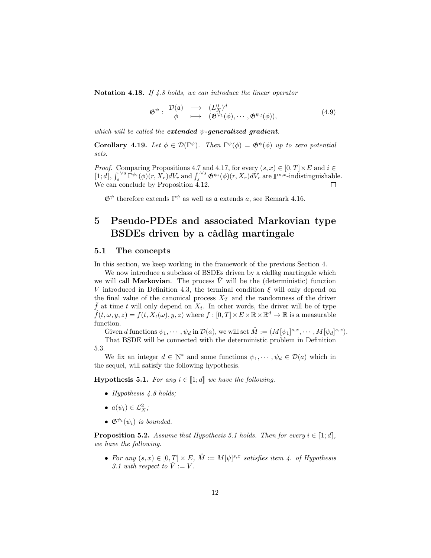Notation 4.18. If 4.8 holds, we can introduce the linear operator

$$
\mathfrak{G}^{\psi} : \begin{array}{ccc} \mathcal{D}(\mathfrak{a}) & \longrightarrow & (L_X^0)^d \\ \phi & \longmapsto & (\mathfrak{G}^{\psi_1}(\phi), \cdots, \mathfrak{G}^{\psi_d}(\phi)), \end{array} \tag{4.9}
$$

which will be called the extended  $\psi$ -generalized gradient.

**Corollary 4.19.** Let  $\phi \in \mathcal{D}(\Gamma^{\psi})$ . Then  $\Gamma^{\psi}(\phi) = \mathfrak{G}^{\psi}(\phi)$  up to zero potential sets.

*Proof.* Comparing Propositions 4.7 and 4.17, for every  $(s, x) \in [0, T] \times E$  and  $i \in$  $\llbracket 1; d \rrbracket$ ,  $\int_s^{\cdot \vee s} \Gamma^{\psi_i}(\phi)(r, X_r) dV_r$  and  $\int_s^{\cdot \vee s} \mathfrak{G}^{\psi_i}(\phi)(r, X_r) dV_r$  are  $\mathbb{P}^{s,x}$ -indistinguishable. We can conclude by Proposition 4.12.  $\Box$ 

 $\mathfrak{G}^{\psi}$  therefore extends  $\Gamma^{\psi}$  as well as  $\mathfrak a$  extends a, see Remark 4.16.

## 5 Pseudo-PDEs and associated Markovian type BSDEs driven by a càdlàg martingale

### 5.1 The concepts

In this section, we keep working in the framework of the previous Section 4.

We now introduce a subclass of BSDEs driven by a càdlàg martingale which we will call **Markovian**. The process  $\hat{V}$  will be the (deterministic) function V introduced in Definition 4.3, the terminal condition  $\xi$  will only depend on the final value of the canonical process  $X_T$  and the randomness of the driver  $\hat{f}$  at time t will only depend on  $X_t$ . In other words, the driver will be of type  $\hat{f}(t, \omega, y, z) = f(t, X_t(\omega), y, z)$  where  $f : [0, T] \times E \times \mathbb{R} \times \mathbb{R}^d \to \mathbb{R}$  is a measurable function.

Given d functions  $\psi_1, \cdots, \psi_d$  in  $\mathcal{D}(a)$ , we will set  $\hat{M} := (M[\psi_1]^{s,x}, \cdots, M[\psi_d]^{s,x}).$ 

That BSDE will be connected with the deterministic problem in Definition 5.3.

We fix an integer  $d \in \mathbb{N}^*$  and some functions  $\psi_1, \dots, \psi_d \in \mathcal{D}(a)$  which in the sequel, will satisfy the following hypothesis.

**Hypothesis 5.1.** For any  $i \in [1;d]$  we have the following.

- Hypothesis 4.8 holds;
- $a(\psi_i) \in \mathcal{L}_X^2$ ;
- $\mathfrak{G}^{\psi_i}(\psi_i)$  is bounded.

**Proposition 5.2.** Assume that Hypothesis 5.1 holds. Then for every  $i \in [1;d]$ , we have the following.

• For any  $(s, x) \in [0, T] \times E$ ,  $\hat{M} := M[\psi]^{s,x}$  satisfies item 4. of Hypothesis 3.1 with respect to  $\hat{V} := V$ .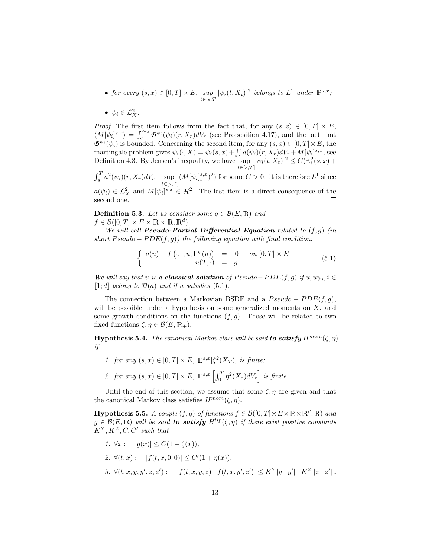- for every  $(s, x) \in [0, T] \times E$ ,  $\sup_{t \in [s, T]} |\psi_i(t, X_t)|^2$  belongs to  $L^1$  under  $\mathbb{P}^{s, x}$ ;
- $\psi_i \in \mathcal{L}_X^2$ .

*Proof.* The first item follows from the fact that, for any  $(s, x) \in [0, T] \times E$ ,  $\langle M[\psi_i]^{s,x}\rangle = \int_s^{\sqrt{s}} \mathfrak{G}^{\psi_i}(\psi_i)(r,X_r) dV_r$  (see Proposition 4.17), and the fact that  $\mathfrak{G}^{\psi_i}(\psi_i)$  is bounded. Concerning the second item, for any  $(s, x) \in [0, T] \times E$ , the martingale problem gives  $\psi_i(\cdot, \tilde{X}) = \psi_i(s, x) + \int_s^s a(\psi_i)(r, X_r) dV_r + M[\psi_i]^{s, x}$ , see Definition 4.3. By Jensen's inequality, we have  $\sup_{t\in\mathbb{R}}|\psi_i(t,X_t)|^2 \leq C(\psi_i^2(s,x)+$  $t\in[s,T]$ 

 $\int_s^T a^2(\psi_i)(r, X_r) dV_r + \sup_{t \in [s,T]} (M[\psi_i]_t^{s,x})^2)$  for some  $C > 0$ . It is therefore  $L^1$  since

 $a(\psi_i) \in \mathcal{L}_X^2$  and  $M[\psi_i]^{s,x} \in \mathcal{H}^2$ . The last item is a direct consequence of the second one.  $\Box$ 

**Definition 5.3.** Let us consider some  $q \in \mathcal{B}(E, \mathbb{R})$  and  $f \in \mathcal{B}([0,T] \times E \times \mathbb{R} \times \mathbb{R}, \mathbb{R}^d)$ .  $f \in \mathcal{B}([0,T] \times E \times \mathbb{R} \times \mathbb{R}, \mathbb{R}^d).$ 

We will call **Pseudo-Partial Differential Equation** related to  $(f, g)$  (in short  $Pseudo - PDE(f, g)$ ) the following equation with final condition:

$$
\begin{cases}\n a(u) + f(\cdot, \cdot, u, \Gamma^{\psi}(u)) &= 0 & \text{on } [0, T] \times E \\
 u(T, \cdot) &= g.\n\end{cases}
$$
\n(5.1)

We will say that u is a **classical solution** of  $Pseudo-PDE(f, g)$  if  $u, u\psi_i, i \in$  $\llbracket 1; d \rrbracket$  belong to  $\mathcal{D}(a)$  and if u satisfies (5.1).

The connection between a Markovian BSDE and a  $Pseudo - PDE(f, q)$ , will be possible under a hypothesis on some generalized moments on  $X$ , and some growth conditions on the functions  $(f, g)$ . Those will be related to two fixed functions  $\zeta, \eta \in \mathcal{B}(E, \mathbb{R}_+).$ 

**Hypothesis 5.4.** The canonical Markov class will be said to satisfy  $H^{mom}(\zeta, \eta)$ if

- 1. for any  $(s, x) \in [0, T] \times E$ ,  $\mathbb{E}^{s, x}[\zeta^2(X_T)]$  is finite;
- 2. for any  $(s, x) \in [0, T] \times E$ ,  $\mathbb{E}^{s,x} \left[ \int_0^T \eta^2(X_r) dV_r \right]$  is finite.

Until the end of this section, we assume that some  $\zeta$ ,  $\eta$  are given and that the canonical Markov class satisfies  $H^{mom}(\zeta, \eta)$ .

**Hypothesis 5.5.** A couple  $(f, g)$  of functions  $f \in \mathcal{B}([0, T] \times E \times \mathbb{R} \times \mathbb{R}^d, \mathbb{R})$  and  $g \in \mathcal{B}(E,\mathbb{R})$  will be said to satisfy  $H^{lip}(\zeta,\eta)$  if there exist positive constants  $K^Y, K^Z, C, C'$  such that

1. 
$$
\forall x : |g(x)| \le C(1 + \zeta(x)),
$$
  
\n2.  $\forall (t, x) : |f(t, x, 0, 0)| \le C'(1 + \eta(x)),$   
\n3.  $\forall (t, x, y, y', z, z') : |f(t, x, y, z) - f(t, x, y', z')| \le K^Y |y - y'| + K^Z ||z - z'||.$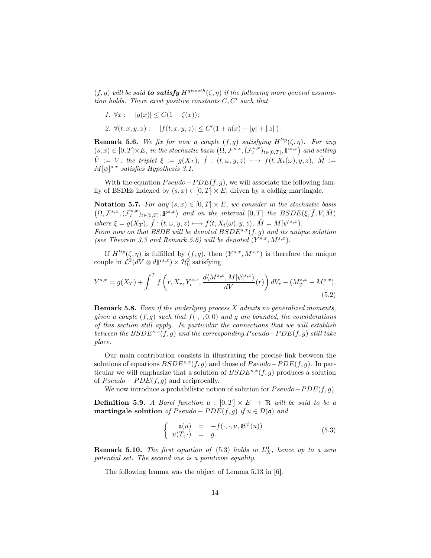$(f, g)$  will be said **to satisfy**  $H^{growth}(\zeta, \eta)$  if the following more general assumption holds. There exist positive constants  $C, C'$  such that

1.  $\forall x : |g(x)| \leq C(1 + \zeta(x));$ 

2. 
$$
\forall (t, x, y, z):
$$
  $|f(t, x, y, z)| \leq C'(1 + \eta(x) + |y| + ||z||).$ 

**Remark 5.6.** We fix for now a couple  $(f, g)$  satisfying  $H^{lip}(\zeta, \eta)$ . For any  $(s, x) \in [0, T] \times E$ , in the stochastic basis  $(\Omega, \mathcal{F}^{s,x}, (\mathcal{F}^{s,x}_t)_{t \in [0,T]}, \mathbb{P}^{s,x})$  and setting  $\hat{V} := V$ , the triplet  $\xi := g(X_T)$ ,  $\hat{f} : (t, \omega, y, z) \longmapsto f(t, X_t(\omega), y, z)$ ,  $\hat{M} :=$  $M[\psi]^{s,x}$  satisfies Hypothesis 3.1.

With the equation  $Pseudo-PDE(f, g)$ , we will associate the following family of BSDEs indexed by  $(s, x) \in [0, T] \times E$ , driven by a càdlàg martingale.

Notation 5.7. For any  $(s, x) \in [0, T] \times E$ , we consider in the stochastic basis  $\left(\Omega, \mathcal{F}^{s,x}, (\mathcal{F}^{s,x}_t)_{t\in[0,T]}, \mathbb{P}^{s,x}\right) \textit{ and on the interval } [0,T] \textit{ the } BSDE(\xi, \hat{f}, V, \hat{M})$ where  $\xi = g(X_T)$ ,  $\hat{f} : (t, \omega, y, z) \longmapsto f(t, X_t(\omega), y, z)$ ,  $\hat{M} = M[\psi]^{s,x}$ . From now on that BSDE will be denoted  $BSDE^{s,x}(f, g)$  and its unique solution (see Theorem 3.3 and Remark 5.6) will be denoted  $(Y^{s,x}, M^{s,x})$ .

If  $H^{lip}(\zeta,\eta)$  is fulfilled by  $(f,g)$ , then  $(Y^{s,x},M^{s,x})$  is therefore the unique couple in  $\mathcal{L}^2(dV \otimes d\mathbb{P}^{s,x}) \times \mathcal{H}^2_0$  satisfying

$$
Y_{.}^{s,x} = g(X_T) + \int_{.}^{T} f\left(r, X_r, Y_r^{s,x}, \frac{d\langle M^{s,x}, M[\psi]^{s,x}}{dV}\right)(r)\right) dV_r - (M_T^{s,x} - M^{s,x}).
$$
\n(5.2)

Remark 5.8. Even if the underlying process X admits no generalized moments, given a couple  $(f, g)$  such that  $f(\cdot, \cdot, 0, 0)$  and g are bounded, the considerations of this section still apply. In particular the connections that we will establish between the  $BSDE^{s,x}(f,g)$  and the corresponding Pseudo–PDE(f, g) still take place.

Our main contribution consists in illustrating the precise link between the solutions of equations  $BSDE^{s,x}(f, g)$  and those of  $Pseudo-PDE(f, g)$ . In particular we will emphasize that a solution of  $BSDE^{s,x}(f, g)$  produces a solution of  $Pseudo - PDE(f, q)$  and reciprocally.

We now introduce a probabilistic notion of solution for  $Pseudo-PDE(f, g)$ .

**Definition 5.9.** A Borel function  $u : [0, T] \times E \rightarrow \mathbb{R}$  will be said to be a martingale solution of  $Pseudo - PDE(f, g)$  if  $u \in \mathcal{D}(\mathfrak{a})$  and

$$
\begin{cases}\n\mathfrak{a}(u) = -f(\cdot, \cdot, u, \mathfrak{G}^{\psi}(u)) \\
u(T, \cdot) = g.\n\end{cases}
$$
\n(5.3)

**Remark 5.10.** The first equation of  $(5.3)$  holds in  $L_X^0$ , hence up to a zero potential set. The second one is a pointwise equality.

The following lemma was the object of Lemma 5.13 in [6].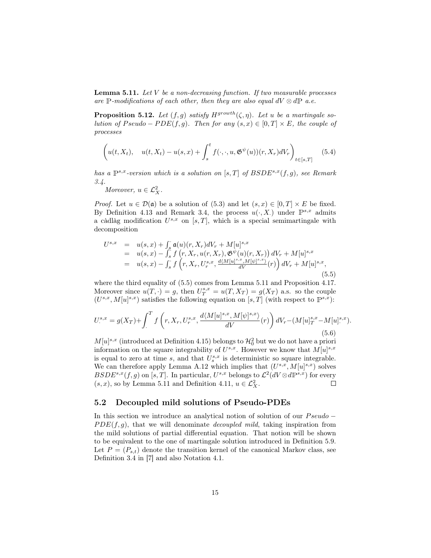**Lemma 5.11.** Let  $V$  be a non-decreasing function. If two measurable processes are P-modifications of each other, then they are also equal  $dV \otimes dP$  a.e.

**Proposition 5.12.** Let  $(f, g)$  satisfy  $H^{growth}(\zeta, \eta)$ . Let u be a martingale solution of Pseudo – PDE(f, g). Then for any  $(s, x) \in [0, T] \times E$ , the couple of processes

$$
\left(u(t, X_t), \quad u(t, X_t) - u(s, x) + \int_s^t f(\cdot, \cdot, u, \mathfrak{G}^{\psi}(u))(r, X_r) dV_r\right)_{t \in [s, T]}
$$
(5.4)

has a  $\mathbb{P}^{s,x}$ -version which is a solution on [s, T] of  $BSDE^{s,x}(f,g)$ , see Remark 3.4.

Moreover,  $u \in \mathcal{L}_X^2$ .

*Proof.* Let  $u \in \mathcal{D}(\mathfrak{a})$  be a solution of (5.3) and let  $(s, x) \in [0, T] \times E$  be fixed. By Definition 4.13 and Remark 3.4, the process  $u(\cdot, X)$  under  $\mathbb{P}^{s,x}$  admits a càdlàg modification  $U^{s,x}$  on  $[s,T]$ , which is a special semimartingale with decomposition

$$
U^{s,x} = u(s,x) + \int_s^s \mathfrak{a}(u)(r, X_r) dV_r + M[u]^{s,x}
$$
  
=  $u(s,x) - \int_s^s f(r, X_r, u(r, X_r), \mathfrak{G}^{\psi}(u)(r, X_r)) dV_r + M[u]^{s,x}$   
=  $u(s,x) - \int_s^s f(r, X_r, U_r^{s,x}, \frac{d(M[u]^{s,x}, M[\psi]^{s,x})}{dV}(r)) dV_r + M[u]^{s,x},$   
(5.5)

where the third equality of (5.5) comes from Lemma 5.11 and Proposition 4.17. Moreover since  $u(T, \cdot) = g$ , then  $U_T^{s,x} = u(T, X_T) = g(X_T)$  a.s. so the couple  $(U^{s,x}, M[u]^{s,x})$  satisfies the following equation on [s, T] (with respect to  $\mathbb{P}^{s,x}$ ):

$$
U^{s,x}_{\cdot} = g(X_T) + \int_{\cdot}^{T} f\left(r, X_r, U^{s,x}_{r}, \frac{d\langle M[u]^{s,x}, M[\psi]^{s,x}\rangle}{dV}(r)\right) dV_r - (M[u]^{s,x}_{T} - M[u]^{s,x}_{\cdot}).
$$
\n(5.6)

 $M[u]^{s,x}$  (introduced at Definition 4.15) belongs to  $\mathcal{H}_0^2$  but we do not have a priori information on the square integrability of  $U^{s,x}$ . However we know that  $M[u]^{s,x}$ is equal to zero at time s, and that  $U_s^{s,x}$  is deterministic so square integrable. We can therefore apply Lemma A.12 which implies that  $(U^{s,x}, M[u]^{s,x})$  solves  $BSDE^{s,x}(f,g)$  on [s, T]. In particular,  $U^{s,x}$  belongs to  $\mathcal{L}^2(dV \otimes d\mathbb{P}^{s,x})$  for every  $(s, x)$ , so by Lemma 5.11 and Definition 4.11,  $u \in \mathcal{L}_{X}^{2}$ .

### 5.2 Decoupled mild solutions of Pseudo-PDEs

In this section we introduce an analytical notion of solution of our  $Pseudo PDE(f, g)$ , that we will denominate *decoupled mild*, taking inspiration from the mild solutions of partial differential equation. That notion will be shown to be equivalent to the one of martingale solution introduced in Definition 5.9. Let  $P = (P_{s,t})$  denote the transition kernel of the canonical Markov class, see Definition 3.4 in [7] and also Notation 4.1.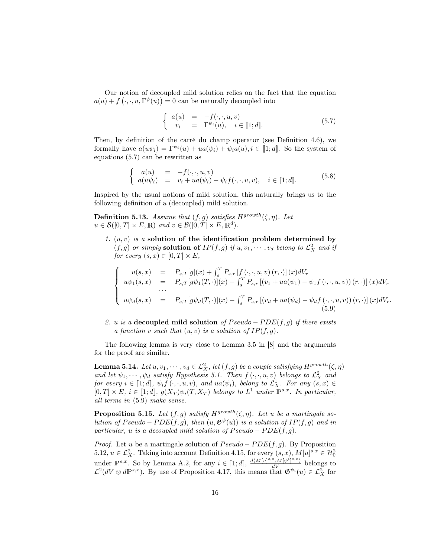Our notion of decoupled mild solution relies on the fact that the equation  $a(u) + f(\cdot, \cdot, u, \Gamma^{\psi}(u)) = 0$  can be naturally decoupled into

$$
\begin{cases}\n a(u) = -f(\cdot, \cdot, u, v) \\
 v_i = \Gamma^{\psi_i}(u), \quad i \in [\![1; d]\!].\n\end{cases} (5.7)
$$

Then, by definition of the carré du champ operator (see Definition 4.6), we formally have  $a(u\psi_i) = \Gamma^{\psi_i}(u) + ua(\psi_i) + \psi_i a(u), i \in [1;d]$ . So the system of equations (5.7) can be rewritten as

$$
\begin{cases}\n a(u) = -f(\cdot, \cdot, u, v) \\
 a(u\psi_i) = v_i + ua(\psi_i) - \psi_i f(\cdot, \cdot, u, v), \quad i \in [\![1; d]\!].\n\end{cases} (5.8)
$$

Inspired by the usual notions of mild solution, this naturally brings us to the following definition of a (decoupled) mild solution.

**Definition 5.13.** Assume that  $(f, g)$  satisfies  $H^{growth}(\zeta, \eta)$ . Let  $u \in \mathcal{B}([0,T] \times E, \mathbb{R})$  and  $v \in \mathcal{B}([0,T] \times E, \mathbb{R}^d)$ .

1.  $(u, v)$  is a solution of the identification problem determined by  $(f, g)$  or simply solution of  $IP(f, g)$  if  $u, v_1, \dots, v_d$  belong to  $\mathcal{L}_X^2$  and if for every  $(s, x) \in [0, T] \times E$ ,

$$
\begin{cases}\nu(s,x) &= P_{s,T}[g](x) + \int_s^T P_{s,r}[f(\cdot,\cdot,u,v)(r,\cdot)](x)dV_r \\
u\psi_1(s,x) &= P_{s,T}[g\psi_1(T,\cdot)](x) - \int_s^T P_{s,r}[ (v_1 + ua(\psi_1) - \psi_1 f(\cdot,\cdot,u,v)) (r,\cdot)](x)dV_r \\
\cdots \\
u\psi_d(s,x) &= P_{s,T}[g\psi_d(T,\cdot)](x) - \int_s^T P_{s,r}[ (v_d + ua(\psi_d) - \psi_d f(\cdot,\cdot,u,v)) (r,\cdot)](x)dV_r.\n\end{cases}
$$

2. u is a decoupled mild solution of  $Pseudo - PDE(f, g)$  if there exists a function v such that  $(u, v)$  is a solution of  $IP(f, g)$ .

The following lemma is very close to Lemma 3.5 in [8] and the arguments for the proof are similar.

**Lemma 5.14.** Let  $u, v_1, \dots, v_d \in \mathcal{L}_X^2$ , let  $(f, g)$  be a couple satisfying  $H^{growth}(\zeta, \eta)$ and let  $\psi_1, \dots, \psi_d$  satisfy Hypothesis 5.1. Then  $f(\cdot, \cdot, u, v)$  belongs to  $\mathcal{L}_X^2$  and for every  $i \in [\![1;d]\!], \psi_i f(\cdot, \cdot, u, v)$ , and  $ua(\psi_i)$ , belong to  $\mathcal{L}^1_X$ . For any  $(s, x) \in$  $[0, T] \times E$ ,  $i \in [1; d]$ ,  $g(X_T)\psi_i(T, X_T)$  belongs to  $L^1$  under  $\mathbb{P}^{s,x}$ . In particular, all terms in (5.9) make sense.

**Proposition 5.15.** Let  $(f, g)$  satisfy  $H^{growth}(\zeta, \eta)$ . Let u be a martingale solution of  $Pseudo - PDE(f, g)$ , then  $(u, \mathfrak{G}^{\psi}(u))$  is a solution of  $IP(f, g)$  and in particular, u is a decoupled mild solution of  $Pseudo - PDE(f, g)$ .

*Proof.* Let u be a martingale solution of  $Pseudo - PDE(f, g)$ . By Proposition 5.12,  $u \in \mathcal{L}_X^2$ . Taking into account Definition 4.15, for every  $(s, x)$ ,  $M[u]^{s, x} \in \mathcal{H}_0^2$ 0 under  $\mathbb{P}^{s,x}$ . So by Lemma A.2, for any  $i \in [\![1;d]\!], \frac{d\langle M[u]^{s,x},M[\psi^{i}]^{s,x}}{dV}$  belongs to  $\mathcal{L}^2(dV \otimes d\mathbb{P}^{s,x})$ . By use of Proposition 4.17, this means that  $\mathfrak{G}^{\psi_i}(u) \in \mathcal{L}_X^2$  for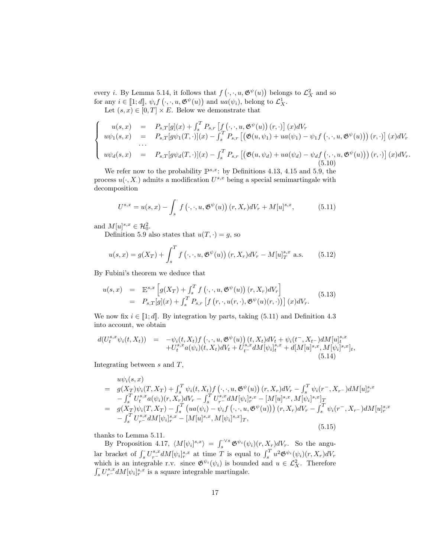every *i*. By Lemma 5.14, it follows that  $f(\cdot, \cdot, u, \mathfrak{G}^{\psi}(u))$  belongs to  $\mathcal{L}_X^2$  and so for any  $i \in [1;d], \psi_i f(\cdot, \cdot, u, \mathfrak{G}^{\psi}(u))$  and  $ua(\psi_i)$ , belong to  $\mathcal{L}_X^1$ .

Let  $(s, x) \in [0, T] \times E$ . Below we demonstrate that

$$
\begin{cases}\nu(s,x) &= P_{s,T}[g](x) + \int_s^T P_{s,r} \left[ f\left(\cdot, \cdot, u, \mathfrak{G}^{\psi}(u)\right)(r, \cdot)\right](x) dV_r \\
u\psi_1(s,x) &= P_{s,T}[g\psi_1(T, \cdot)](x) - \int_s^T P_{s,r} \left[ \left(\mathfrak{G}(u,\psi_1) + ua(\psi_1) - \psi_1 f\left(\cdot, \cdot, u, \mathfrak{G}^{\psi}(u)\right)\right)(r, \cdot)\right](x) dV_r \\
u\psi_d(s,x) &= P_{s,T}[g\psi_d(T, \cdot)](x) - \int_s^T P_{s,r} \left[ \left(\mathfrak{G}(u,\psi_d) + ua(\psi_d) - \psi_d f\left(\cdot, \cdot, u, \mathfrak{G}^{\psi}(u)\right)\right)(r, \cdot)\right](x) dV_r.\n\end{cases}
$$

We refer now to the probability  $\mathbb{P}^{s,x}$ : by Definitions 4.13, 4.15 and 5.9, the process  $u(\cdot, X)$  admits a modification  $U^{s,x}$  being a special semimartingale with decomposition

$$
U^{s,x} = u(s,x) - \int_s^{\cdot} f(\cdot, \cdot, u, \mathfrak{G}^{\psi}(u)) (r, X_r) dV_r + M[u]^{s,x}, \qquad (5.11)
$$

and  $M[u]^{s,x} \in \mathcal{H}_0^2$ .

Definition 5.9 also states that  $u(T, \cdot) = g$ , so

$$
u(s,x) = g(X_T) + \int_s^T f(\cdot, \cdot, u, \mathfrak{G}^{\psi}(u)) (r, X_r) dV_r - M[u]_T^{s,x} \text{ a.s.}
$$
 (5.12)

By Fubini's theorem we deduce that

$$
u(s,x) = \mathbb{E}^{s,x} \left[ g(X_T) + \int_s^T f(\cdot, \cdot, u, \mathfrak{G}^{\psi}(u)) (r, X_r) dV_r \right]
$$
  
=  $P_{s,T}[g](x) + \int_s^T P_{s,r} \left[ f(r, \cdot, u(r, \cdot), \mathfrak{G}^{\psi}(u)(r, \cdot)) \right] (x) dV_r.$  (5.13)

We now fix  $i \in [1; d]$ . By integration by parts, taking (5.11) and Definition 4.3 into account, we obtain

$$
d(U_t^{s,x}\psi_i(t,X_t)) = -\psi_i(t,X_t)f(\cdot,\cdot,u,\mathfrak{G}^{\psi}(u))(t,X_t)dV_t + \psi_i(t^-,X_{t^-})dM[u]_t^{s,x} + U_t^{s,x}a(\psi_i)(t,X_t)dV_t + U_t^{s,x}dM[\psi_i]_t^{s,x} + d[M[u]_{s,x}^{s,x},M[\psi_i]_{s,x}^{s,x}],
$$
\n(5.14)

Integrating between  $s$  and  $T$ ,

$$
u\psi_i(s, x) = g(X_T)\psi_i(T, X_T) + \int_s^T \psi_i(t, X_t)f(\cdot, \cdot, u, \mathfrak{G}^{\psi}(u)) (r, X_r)dV_r - \int_s^T \psi_i(r^-, X_{r^-})dM[u]_{r}^{s,x} - \int_s^T U_t^{s,x} a(\psi_i)(r, X_r)dV_r - \int_s^T U_{r^-}^{s,x} dM[\psi_i]_{r}^{s,x} - [M[u]_{r^-}^{s,x}, M[\psi_i]_{r^-}^{s,x}]_T = g(X_T)\psi_i(T, X_T) - \int_s^T (ua(\psi_i) - \psi_i f(\cdot, \cdot, u, \mathfrak{G}^{\psi}(u))) (r, X_r)dV_r - \int_s^T \psi_i(r^-, X_{r^-})dM[u]_{r^-}^{s,x} - \int_s^T U_{r^-}^{s,x} dM[\psi_i]_{r^-}^{s,x} - [M[u]_{r^-}^{s,x}, M[\psi_i]_{r^-}^{s,x}]_T,
$$
\n(5.15)

thanks to Lemma 5.11.

By Proposition 4.17,  $\langle M[\psi_i]^{s,x} \rangle = \int_s^{\cdot \sqrt{s}} \mathfrak{G}^{\psi_i}(\psi_i)(r, X_r) dV_r$ . So the angular bracket of  $\int_s^r U^{s,x}_{r-} dM[\psi_i]^{s,x}_r$  at time T is equal to  $\int_s^T u^2 \mathfrak{G}^{\psi_i}(\psi_i)(r,X_r) dV_r$ which is an integrable r.v. since  $\mathfrak{G}^{\psi_i}(\psi_i)$  is bounded and  $u \in \mathcal{L}_X^2$ . Therefore  $\int_s^{\cdot} U_{r-}^{s,x} dM[\psi_i]_{r}^{s,x}$  is a square integrable martingale.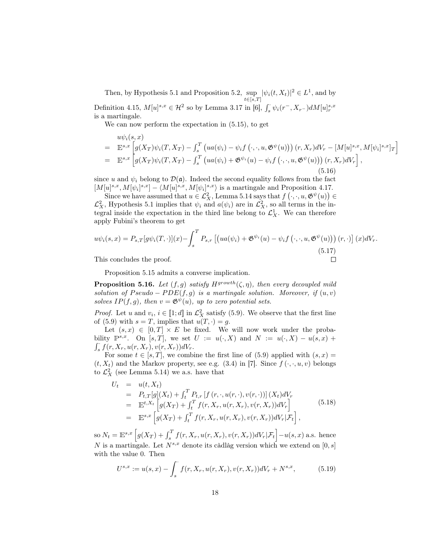Then, by Hypothesis 5.1 and Proposition 5.2, sup  $\sup_{t\in[s,T]} |\psi_i(t,X_t)|^2 \in L^1$ , and by Definition 4.15,  $M[u]^{s,x} \in \mathcal{H}^2$  so by Lemma 3.17 in [6],  $\int_s \psi_i(r^-, X_{r^-}) dM[u]^{s,x}_r$ is a martingale.

We can now perform the expectation in (5.15), to get

$$
\begin{split}\n&u\psi_{i}(s,x) \\
&= \mathbb{E}^{s,x} \left[ g(X_{T})\psi_{i}(T,X_{T}) - \int_{s}^{T} \left( ua(\psi_{i}) - \psi_{i}f\left(\cdot,\cdot,u,\mathfrak{G}^{\psi}(u)\right) \right)(r,X_{r})dV_{r} - [M[u]^{s,x},M[\psi_{i}]^{s,x}]_{T} \right] \\
&= \mathbb{E}^{s,x} \left[ g(X_{T})\psi_{i}(T,X_{T}) - \int_{s}^{T} \left( ua(\psi_{i}) + \mathfrak{G}^{\psi_{i}}(u) - \psi_{i}f\left(\cdot,\cdot,u,\mathfrak{G}^{\psi}(u)\right) \right)(r,X_{r})dV_{r} \right],\n\end{split}
$$
\n(5.16)

since u and  $\psi_i$  belong to  $\mathcal{D}(\mathfrak{a})$ . Indeed the second equality follows from the fact  $[M[u]^{s,x}, M[\psi_i]^{s,x}] - \langle M[u]^{s,x}, M[\psi_i]^{s,x} \rangle$  is a martingale and Proposition 4.17.

Since we have assumed that  $u \in \mathcal{L}_X^2$ , Lemma 5.14 says that  $f(\cdot, \cdot, u, \mathfrak{G}^{\psi}(u)) \in$  $\mathcal{L}_X^2$ , Hypothesis 5.1 implies that  $\psi_i$  and  $a(\psi_i)$  are in  $\mathcal{L}_X^2$ , so all terms in the integral inside the expectation in the third line belong to  $\mathcal{L}_X^1$ . We can therefore apply Fubini's theorem to get

$$
u\psi_i(s,x) = P_{s,T}[g\psi_i(T,\cdot)](x) - \int_s^T P_{s,r}\left[\left(ua(\psi_i) + \mathfrak{G}^{\psi_i}(u) - \psi_i f\left(\cdot, \cdot, u, \mathfrak{G}^{\psi}(u)\right)\right)(r,\cdot)\right](x)dV_r.
$$
  
This concludes the proof.

This concludes the proof.

Proposition 5.15 admits a converse implication.

**Proposition 5.16.** Let  $(f, g)$  satisfy  $H^{growth}(\zeta, \eta)$ , then every decoupled mild solution of  $Pseudo - PDE(f, g)$  is a martingale solution. Moreover, if  $(u, v)$ solves  $IP(f, g)$ , then  $v = \mathfrak{G} \psi(u)$ , up to zero potential sets.

*Proof.* Let u and  $v_i, i \in [1;d]$  in  $\mathcal{L}_X^2$  satisfy (5.9). We observe that the first line of (5.9) with  $s = T$ , implies that  $u(T, \cdot) = g$ .

Let  $(s, x) \in [0, T] \times E$  be fixed. We will now work under the probability  $\mathbb{P}^{s,x}$ . On [s, T], we set  $U := u(\cdot, X)$  and  $N := u(\cdot, X) - u(s,x) +$  $\int_{s}^{t} f(r, X_r, u(r, X_r), v(r, X_r)) dV_r.$ 

For some  $t \in [s, T]$ , we combine the first line of (5.9) applied with  $(s, x) =$  $(t, X_t)$  and the Markov property, see e.g. (3.4) in [7]. Since  $f(\cdot, \cdot, u, v)$  belongs to  $\mathcal{L}_X^2$  (see Lemma 5.14) we a.s. have that

$$
U_t = u(t, X_t)
$$
  
\n
$$
= P_{t,T}[g](X_t) + \int_t^T P_{t,r}[f(r, \cdot, u(r, \cdot), v(r, \cdot))](X_t)dV_r
$$
  
\n
$$
= \mathbb{E}^{t,X_t}[g(X_T) + \int_t^T f(r, X_r, u(r, X_r), v(r, X_r))dV_r]
$$
  
\n
$$
= \mathbb{E}^{s,x}[g(X_T) + \int_t^T f(r, X_r, u(r, X_r), v(r, X_r))dV_r|\mathcal{F}_t],
$$
\n(5.18)

so  $N_t = \mathbb{E}^{s,x} \left[g(X_T) + \int_s^T f(r, X_r, u(r, X_r), v(r, X_r))dV_r|\mathcal{F}_t\right] - u(s, x)$  a.s. hence N is a martingale. Let  $N^{s,x}$  denote its càdlàg version which we extend on [0, s] with the value 0. Then

$$
U^{s,x} := u(s,x) - \int_s^{\cdot} f(r, X_r, u(r, X_r), v(r, X_r))dV_r + N^{s,x}, \tag{5.19}
$$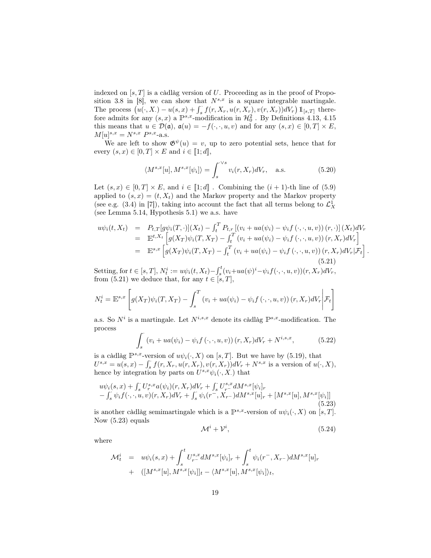indexed on  $[s, T]$  is a càdlàg version of U. Proceeding as in the proof of Proposition 3.8 in [8], we can show that  $N^{s,x}$  is a square integrable martingale. The process  $(u(\cdot, X) - u(s, x) + \int_s^{\cdot} f(r, X_r, u(r, X_r), v(r, X_r))dV_r) \mathbb{1}_{[s,T]}$  therefore admits for any  $(s, x)$  a  $\mathbb{P}^{s,x}$ -modification in  $\mathcal{H}_0^2$ . By Definitions 4.13, 4.15 this means that  $u \in \mathcal{D}(\mathfrak{a})$ ,  $\mathfrak{a}(u) = -f(\cdot, \cdot, u, v)$  and for any  $(s, x) \in [0, T] \times E$ ,  $M[u]^{s,x} = N^{s,x} P^{s,x}$ -a.s.

We are left to show  $\mathfrak{G}^{\psi}(u) = v$ , up to zero potential sets, hence that for every  $(s, x) \in [0, T] \times E$  and  $i \in [1; d]$ ,

$$
\langle M^{s,x}[u], M^{s,x}[\psi_i] \rangle = \int_s^{\cdot \vee s} v_i(r, X_r) dV_r, \quad \text{a.s.}
$$
 (5.20)

Let  $(s, x) \in [0, T] \times E$ , and  $i \in [1; d]$ . Combining the  $(i + 1)$ -th line of  $(5.9)$ applied to  $(s, x) = (t, X_t)$  and the Markov property and the Markov property (see e.g. (3.4) in [7]), taking into account the fact that all terms belong to  $\mathcal{L}_X^1$ (see Lemma 5.14, Hypothesis 5.1) we a.s. have

$$
u\psi_i(t, X_t) = P_{t,T}[g\psi_i(T, \cdot)](X_t) - \int_t^T P_{t,r}[ (v_i + ua(\psi_i) - \psi_i f(\cdot, \cdot, u, v)) (r, \cdot)] (X_t) dV_r
$$
  
\n
$$
= \mathbb{E}^{t, X_t} \left[ g(X_T) \psi_i(T, X_T) - \int_t^T (v_i + ua(\psi_i) - \psi_i f(\cdot, \cdot, u, v)) (r, X_r) dV_r \right]
$$
  
\n
$$
= \mathbb{E}^{s, x} \left[ g(X_T) \psi_i(T, X_T) - \int_t^T (v_i + ua(\psi_i) - \psi_i f(\cdot, \cdot, u, v)) (r, X_r) dV_r | \mathcal{F}_t \right].
$$
  
\n(5.21)

Setting, for  $t \in [s, T]$ ,  $N_t^i := u\psi_i(t, X_t) - \int_s^t (v_i + ua(\psi)^i - \psi_i f(\cdot, \cdot, u, v))(r, X_r) dV_r$ , from (5.21) we deduce that, for any  $t \in [s, T]$ ,

$$
N_t^i = \mathbb{E}^{s,x} \left[ g(X_T) \psi_i(T, X_T) - \int_s^T \left( v_i + ua(\psi_i) - \psi_i f(\cdot, \cdot, u, v) \right) (r, X_r) dV_r \bigg| \mathcal{F}_t \right]
$$

a.s. So  $N^i$  is a martingale. Let  $N^{i,s,x}$  denote its càdlàg  $\mathbb{P}^{s,x}$ -modification. The process

$$
\int_{s}^{s} (v_{i} + ua(\psi_{i}) - \psi_{i} f(\cdot, \cdot, u, v)) (r, X_{r}) dV_{r} + N^{i, s, x}, \qquad (5.22)
$$

is a càdlàg  $\mathbb{P}^{s,x}$ -version of  $u\psi_i(\cdot, X)$  on [s, T]. But we have by (5.19), that  $U^{s,x} = u(s,x) - \int_s^s f(r, X_r, u(r, X_r), v(r, X_r))dV_r + N^{s,x}$  is a version of  $u(\cdot, X)$ , hence by integration by parts on  $U^{s,x}\psi_i(\cdot, X)$  that

$$
u\psi_i(s,x) + \int_s^{\cdot} U_r^{s,x} a(\psi_i)(r, X_r) dV_r + \int_s^{\cdot} U_{r-}^{s,x} dM^{s,x} [\psi_i]_r - \int_s^{\cdot} \psi_i f(\cdot, \cdot, u, v)(r, X_r) dV_r + \int_s^{\cdot} \psi_i(r^-, X_{r^-}) dM^{s,x} [u]_r + [M^{s,x} [u], M^{s,x} [\psi_i]]
$$
\n(5.23)

is another càdlàg semimartingale which is a  $\mathbb{P}^{s,x}$ -version of  $u\psi_i(\cdot, X)$  on  $[s, T]$ . Now (5.23) equals

$$
\mathcal{M}^i + \mathcal{V}^i, \tag{5.24}
$$

where

$$
\mathcal{M}_t^i = u\psi_i(s, x) + \int_s^t U_{r-}^{s, x} dM^{s, x} [\psi_i]_r + \int_s^t \psi_i(r^-, X_{r-}) dM^{s, x} [u]_r + ([M^{s, x}[u], M^{s, x}[\psi_i]]_t - \langle M^{s, x}[u], M^{s, x}[\psi_i] \rangle_t,
$$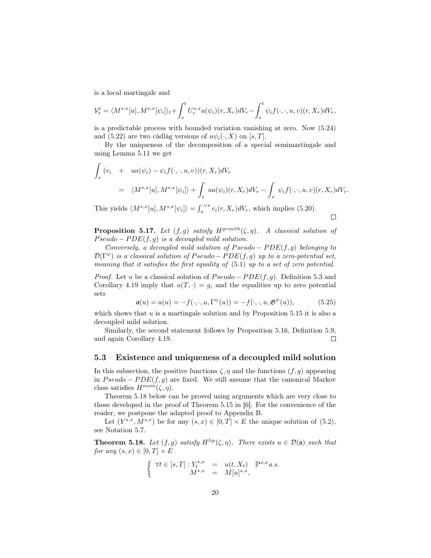is a local martingale and

$$
\mathcal{V}_t^i = \langle M^{s,x}[u], M^{s,x}[\psi_i] \rangle_t + \int_s^t U_r^{s,x} a(\psi_i)(r, X_r) dV_r - \int_s^t \psi_i f(\cdot, \cdot, u, v)(r, X_r) dV_r,
$$

is a predictable process with bounded variation vanishing at zero. Now (5.24) and (5.22) are two càdlàg versions of  $u\psi_i(\cdot, X)$  on [s, T].

By the uniqueness of the decomposition of a special semimartingale and using Lemma 5.11 we get

$$
\int_{s}^{s} (v_{i} + ua(\psi_{i}) - \psi_{i}f(\cdot, \cdot, u, v))(r, X_{r})dV_{r}
$$
\n
$$
= \langle M^{s,x}[u], M^{s,x}[\psi_{i}]\rangle + \int_{s}^{s} ua(\psi_{i})(r, X_{r})dV_{r} - \int_{s}^{s} \psi_{i}f(\cdot, \cdot, u, v)(r, X_{r})dV_{r}.
$$
\n
$$
\sum_{i} \int_{s}^{s} t^{s,x}[u] dV_{i}dV_{i} + \int_{s}^{s} t^{s}f(\cdot, \cdot, u, v)(r, X_{r})dV_{r}.
$$

This yields  $\langle M^{s,x}[u], M^{s,x}[\psi_i] \rangle = \int_s^{\sqrt{s}} v_i(r, X_r) dV_r$ , which implies (5.20).  $\Box$ 

**Proposition 5.17.** Let  $(f, g)$  satisfy  $H^{growth}(\zeta, \eta)$ . A classical solution of  $Pseudo - PDE(f, g)$  is a decoupled mild solution.

Conversely, a decoupled mild solution of  $Pseudo - PDE(f, g)$  belonging to  $\mathcal{D}(\Gamma^{\psi})$  is a classical solution of Pseudo – PDE(f, g) up to a zero-potential set, meaning that it satisfies the first equality of (5.1) up to a set of zero potential.

*Proof.* Let u be a classical solution of  $Pseudo - PDE(f, q)$ . Definition 5.3 and Corollary 4.19 imply that  $u(T, \cdot) = g$ , and the equalities up to zero potential sets

$$
\mathfrak{a}(u) = a(u) = -f(\cdot, \cdot, u, \Gamma^{\psi}(u)) = -f(\cdot, \cdot, u, \mathfrak{G}^{\psi}(u)), \tag{5.25}
$$

which shows that  $u$  is a martingale solution and by Proposition 5.15 it is also a decoupled mild solution.

Similarly, the second statement follows by Proposition 5.16, Definition 5.9, and again Corollary 4.19.  $\Box$ 

### 5.3 Existence and uniqueness of a decoupled mild solution

In this subsection, the positive functions  $\zeta$ ,  $\eta$  and the functions  $(f, g)$  appearing in  $Pseudo - PDE(f, g)$  are fixed. We still assume that the canonical Markov class satisfies  $H^{mom}(\zeta, \eta)$ .

Theorem 5.18 below can be proved using arguments which are very close to those developed in the proof of Theorem 5.15 in [6]. For the convenience of the reader, we postpone the adapted proof to Appendix B.

Let  $(Y^{s,x}, M^{s,x})$  be for any  $(s, x) \in [0, T] \times E$  the unique solution of  $(5.2)$ , see Notation 5.7.

**Theorem 5.18.** Let  $(f, g)$  satisfy  $H^{lip}(\zeta, \eta)$ . There exists  $u \in \mathcal{D}(\mathfrak{a})$  such that for any  $(s, x) \in [0, T] \times E$ 

$$
\left\{ \begin{array}{rcl} \forall t \in [s,T]: Y^{s,x}_t &=& u(t,X_t) \quad \mathbb{P}^{s,x} \, a.s. \\ M^{s,x} &=& M[u]^{s,x}, \end{array} \right.
$$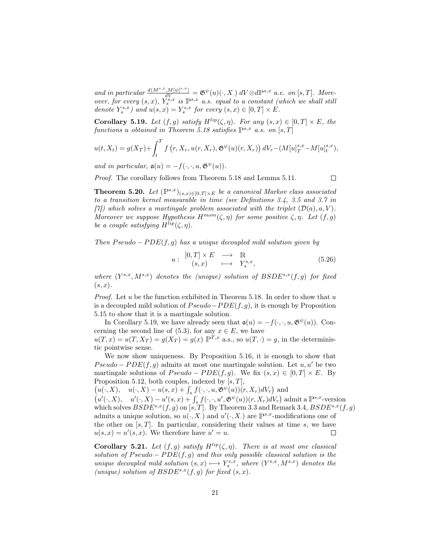and in particular  $\frac{d(M^{s,x},M[\psi]^{s,x})}{dV} = \mathfrak{G}^{\psi}(u)(\cdot,X.) dV \otimes d\mathbb{P}^{s,x}$  a.e. on [s, T]. Moreover, for every  $(s, x)$ ,  $Y_s^{s, x}$  is  $\mathbb{P}^{s, x}$  a.s. equal to a constant (which we shall still denote  $Y_s^{s,x}$ ) and  $u(s,x) = Y_s^{s,x}$  for every  $(s,x) \in [0,T] \times E$ .

**Corollary 5.19.** Let  $(f, g)$  satisfy  $H^{lip}(\zeta, \eta)$ . For any  $(s, x) \in [0, T] \times E$ , the functions u obtained in Theorem 5.18 satisfies  $\mathbb{P}^{s,x}$  a.s. on [s, T]

$$
u(t, X_t) = g(X_T) + \int_t^T f(r, X_r, u(r, X_r), \mathfrak{G}^{\psi}(u)(r, X_r)) dV_r - (M[u]_T^{s,x} - M[u]_t^{s,x}),
$$

and in particular,  $\mathfrak{a}(u) = -f(\cdot, \cdot, u, \mathfrak{G}^{\psi}(u)).$ 

Proof. The corollary follows from Theorem 5.18 and Lemma 5.11.

 $\Box$ 

**Theorem 5.20.** Let  $(\mathbb{P}^{s,x})_{(s,x)\in[0,T]\times E}$  be a canonical Markov class associated to a transition kernel measurable in time (see Definitions 3.4, 3.5 and 3.7 in [7]) which solves a martingale problem associated with the triplet  $(\mathcal{D}(a), a, V)$ . Moreover we suppose Hypothesis  $H^{mom}(\zeta, \eta)$  for some positive  $\zeta, \eta$ . Let  $(f, g)$ be a couple satisfying  $H^{lip}(\zeta, \eta)$ .

Then  $Pseudo - PDE(f, g)$  has a unique decoupled mild solution given by

$$
u: \begin{array}{ccc} [0,T] \times E & \longrightarrow & \mathbb{R} \\ (s,x) & \longmapsto & Y_s^{s,x}, \end{array} \tag{5.26}
$$

where  $(Y^{s,x}, M^{s,x})$  denotes the (unique) solution of  $BSDE^{s,x}(f,g)$  for fixed  $(s, x).$ 

*Proof.* Let u be the function exhibited in Theorem 5.18. In order to show that u is a decoupled mild solution of  $Pseudo-PDE(f, g)$ , it is enough by Proposition 5.15 to show that it is a martingale solution.

In Corollary 5.19, we have already seen that  $\mathfrak{a}(u) = -f(\cdot, \cdot, u, \mathfrak{G}^{\psi}(u))$ . Concerning the second line of (5.3), for any  $x \in E$ , we have  $u(T, x) = u(T, X_T) = g(X_T) = g(x) \mathbb{P}^{T, x}$  a.s., so  $u(T, \cdot) = g$ , in the deterministic pointwise sense.

We now show uniqueness. By Proposition 5.16, it is enough to show that  $Pseudo - PDE(f, g)$  admits at most one martingale solution. Let  $u, u'$  be two martingale solutions of  $Pseudo - PDE(f, g)$ . We fix  $(s, x) \in [0, T] \times E$ . By Proposition 5.12, both couples, indexed by  $[s, T]$ ,

 $(u(\cdot, X), \quad u(\cdot, X) - u(s, x) + \int_s^s f(\cdot, \cdot, u, \mathfrak{G}^{\psi}(u))(r, X_r) dV_r)$  and

 $(u'(\cdot, X), u'(\cdot, X) - u'(s, x) + \int_s^s f(\cdot, \cdot, u', \mathfrak{G}^{\psi}(u))(r, X_r)dV_r)$  admit a  $\mathbb{P}^{s,x}$ -version which solves  $BSDE^{s,x}(f,g)$  on [s, T]. By Theorem 3.3 and Remark 3.4,  $BSDE^{s,x}(f,g)$ admits a unique solution, so  $u(\cdot, X)$  and  $u'(\cdot, X)$  are  $\mathbb{P}^{s,x}$ -modifications one of the other on  $[s, T]$ . In particular, considering their values at time s, we have  $u(s, x) = u'(s, x)$ . We therefore have  $u' = u$ .  $\Box$ 

Corollary 5.21. Let  $(f, g)$  satisfy  $H^{lip}(\zeta, \eta)$ . There is at most one classical solution of  $Pseudo - PDE(f, g)$  and this only possible classical solution is the unique decoupled mild solution  $(s, x) \rightarrow Y_s^{s,x}$ , where  $(Y^{s,x}, M^{s,x})$  denotes the (unique) solution of  $B SDE^{s,x}(f, g)$  for fixed  $(s, x)$ .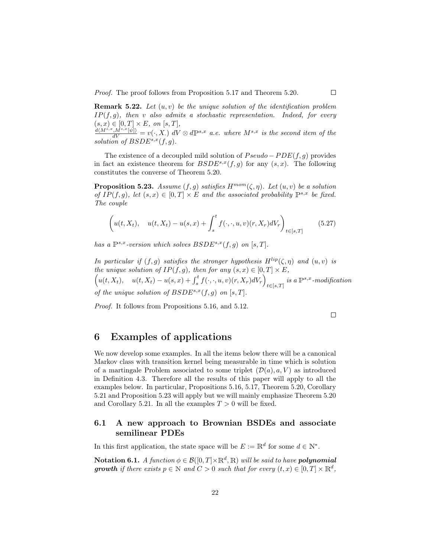Proof. The proof follows from Proposition 5.17 and Theorem 5.20.

**Remark 5.22.** Let  $(u, v)$  be the unique solution of the identification problem  $IP(f, q)$ , then v also admits a stochastic representation. Indeed, for every  $(s, x) \in [0, T] \times E$ , on  $[s, T]$ ,<br>  $\frac{d(M^{s,x}, M^{s,x}[\psi])}{dV} = v(\cdot, X) dV \otimes d\mathbb{P}^{s,x}$  a.e. where  $M^{s,x}$  is the second item of the

solution of  $BSDE^{s,x}(f,g)$ .

The existence of a decoupled mild solution of  $Pseudo - PDE(f, g)$  provides in fact an existence theorem for  $BSDE^{s,x}(f,g)$  for any  $(s, x)$ . The following constitutes the converse of Theorem 5.20.

**Proposition 5.23.** Assume  $(f, g)$  satisfies  $H^{mom}(\zeta, \eta)$ . Let  $(u, v)$  be a solution of  $IP(f, g)$ , let  $(s, x) \in [0, T] \times E$  and the associated probability  $\mathbb{P}^{s,x}$  be fixed. The couple

$$
\left(u(t, X_t), u(t, X_t) - u(s, x) + \int_s^t f(\cdot, \cdot, u, v)(r, X_r) dV_r\right)_{t \in [s, T]}
$$
(5.27)

has a  $\mathbb{P}^{s,x}$ -version which solves  $B SDE^{s,x}(f,g)$  on [s, T].

In particular if  $(f, g)$  satisfies the stronger hypothesis  $H^{lip}(\zeta, \eta)$  and  $(u, v)$  is the unique solution of  $IP(f, g)$ , then for any  $(s, x) \in [0, T] \times E$ , the unique solution of  $IP(f, g)$ , then for any  $(s, x) \in [0, T] \times E$ ,  $\left(u(t, X_t), u(t, X_t) - u(s, x) + \int_s^t f(\cdot, \cdot, u, v)(r, X_r) dV_r\right)_{t \in [\varepsilon, T]} i$  $i \in [s,T]$  is a  $\mathbb{P}^{s,x}$ -modification of the unique solution of  $B SDE^{s,x}(f, g)$  on  $[s, T]$ .

Proof. It follows from Propositions 5.16, and 5.12.

 $\Box$ 

 $\Box$ 

### 6 Examples of applications

We now develop some examples. In all the items below there will be a canonical Markov class with transition kernel being measurable in time which is solution of a martingale Problem associated to some triplet  $(\mathcal{D}(a), a, V)$  as introduced in Definition 4.3. Therefore all the results of this paper will apply to all the examples below. In particular, Propositions 5.16, 5.17, Theorem 5.20, Corollary 5.21 and Proposition 5.23 will apply but we will mainly emphasize Theorem 5.20 and Corollary 5.21. In all the examples  $T > 0$  will be fixed.

### 6.1 A new approach to Brownian BSDEs and associate semilinear PDEs

In this first application, the state space will be  $E := \mathbb{R}^d$  for some  $d \in \mathbb{N}^*$ .

**Notation 6.1.** A function  $\phi \in \mathcal{B}([0,T] \times \mathbb{R}^d, \mathbb{R})$  will be said to have **polynomial growth** if there exists  $p \in \mathbb{N}$  and  $C > 0$  such that for every  $(t, x) \in [0, T] \times \mathbb{R}^d$ ,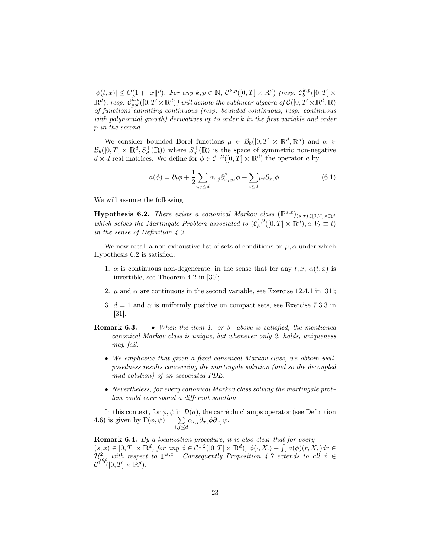$|\phi(t,x)| \leq C(1+\|x\|^p)$ . For any  $k, p \in \mathbb{N}$ ,  $C^{k,p}([0,T] \times \mathbb{R}^d)$  (resp.  $C_b^{k,p}([0,T] \times$  $\mathbb{R}^d$ ), resp.  $\mathcal{C}^{k,p}_{pol}([0,T]\times\mathbb{R}^d)$ ) will denote the sublinear algebra of  $\mathcal{C}([0,T]\times\mathbb{R}^d,\mathbb{R})$ of functions admitting continuous (resp. bounded continuous, resp. continuous with polynomial growth) derivatives up to order k in the first variable and order p in the second.

We consider bounded Borel functions  $\mu \in \mathcal{B}_b([0,T] \times \mathbb{R}^d, \mathbb{R}^d)$  and  $\alpha \in$  $\mathcal{B}_b([0,T] \times \mathbb{R}^d, S_d^+(\mathbb{R}))$  where  $S_d^+(\mathbb{R})$  is the space of symmetric non-negative  $d \times d$  real matrices. We define for  $\phi \in C^{1,2}([0,T] \times \mathbb{R}^d)$  the operator a by

$$
a(\phi) = \partial_t \phi + \frac{1}{2} \sum_{i,j \le d} \alpha_{i,j} \partial_{x_i x_j}^2 \phi + \sum_{i \le d} \mu_i \partial_{x_i} \phi.
$$
 (6.1)

We will assume the following.

Hypothesis 6.2. There exists a canonical Markov class  $(\mathbb{P}^{s,x})_{(s,x)\in[0,T]\times\mathbb{R}^d}$ which solves the Martingale Problem associated to  $(C_b^{1,2}([0,T] \times \mathbb{R}^d), a, V_t \equiv t)$ in the sense of Definition 4.3.

We now recall a non-exhaustive list of sets of conditions on  $\mu$ ,  $\alpha$  under which Hypothesis 6.2 is satisfied.

- 1.  $\alpha$  is continuous non-degenerate, in the sense that for any t, x,  $\alpha(t, x)$  is invertible, see Theorem 4.2 in [30];
- 2.  $\mu$  and  $\alpha$  are continuous in the second variable, see Exercise 12.4.1 in [31];
- 3.  $d = 1$  and  $\alpha$  is uniformly positive on compact sets, see Exercise 7.3.3 in [31].
- Remark 6.3. When the item 1. or 3. above is satisfied, the mentioned canonical Markov class is unique, but whenever only 2. holds, uniqueness may fail.
	- We emphasize that given a fixed canonical Markov class, we obtain wellposedness results concerning the martingale solution (and so the decoupled mild solution) of an associated PDE.
	- Nevertheless, for every canonical Markov class solving the martingale problem could correspond a different solution.

In this context, for  $\phi$ ,  $\psi$  in  $\mathcal{D}(a)$ , the carré du champs operator (see Definition 4.6) is given by  $\Gamma(\phi, \psi) = \sum$  $\sum_{i,j\leq d}\alpha_{i,j}\partial_{x_i}\phi\partial_{x_j}\psi.$ 

Remark 6.4. By a localization procedure, it is also clear that for every  $(s, x) \in [0, T] \times \mathbb{R}^d$ , for any  $\phi \in C^{1,2}([0, T] \times \mathbb{R}^d)$ ,  $\phi(\cdot, X) - \int_s^s a(\phi)(r, X_r) dr \in$  $\mathcal{H}_{loc}^1$  with respect to  $\mathbb{P}^{s,x}$ . Consequently Proposition 4.7 extends to all  $\phi \in \mathcal{H}_{loc}^1$  $\mathcal{C}^{1,2}([0,T]\times\mathbb{R}^d).$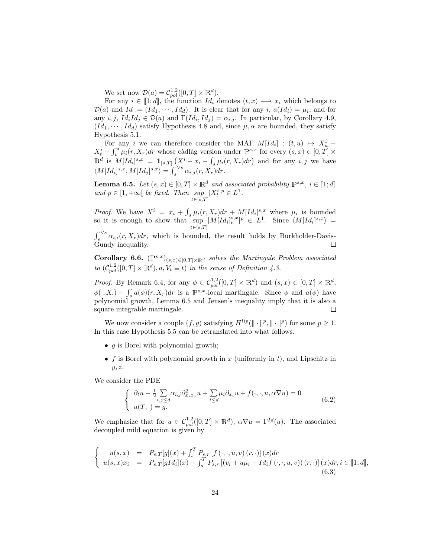We set now  $\mathcal{D}(a) = \mathcal{C}_{pol}^{1,2}([0,T] \times \mathbb{R}^d)$ .

For any  $i \in [1;d]$ , the function  $Id_i$  denotes  $(t, x) \mapsto x_i$  which belongs to  $\mathcal{D}(a)$  and  $Id := (Id_1, \dots, Id_d)$ . It is clear that for any i,  $a(Id_i) = \mu_i$ , and for any  $i, j, Id_i Id_j \in \mathcal{D}(a)$  and  $\Gamma(Id_i, Id_j) = \alpha_{i,j}$ . In particular, by Corollary 4.9,  $(Id_1, \dots, Id_d)$  satisfy Hypothesis 4.8 and, since  $\mu, \alpha$  are bounded, they satisfy Hypothesis 5.1.

For any i we can therefore consider the MAF  $M[Id_i] : (t, u) \mapsto X_u^i$  $X_t^i - \int_t^u \mu_i(r, X_r) dr$  whose càdlàg version under  $\mathbb{P}^{s,x}$  for every  $(s, x) \in [0, T] \times$  $\mathbb{R}^d$  is  $M[Id_i]^{s,x} = 1\!\!1_{[s,T]} (X^i - x_i - \int_s^s \mu_i(r,X_r) dr)$  and for any  $i, j$  we have  $\langle M[Id_i]^{s,x}, M[Id_j]^{s,x} \rangle = \int_s^{\sqrt{s}} \alpha_{i,j}(r, X_r) dr.$ 

**Lemma 6.5.** Let  $(s, x) \in [0, T] \times \mathbb{R}^d$  and associated probability  $\mathbb{P}^{s,x}$ ,  $i \in [1;d]$ and  $p \in [1, +\infty[$  be fixed. Then  $\sup_{t \in [s,T]} |X_t^i|^p \in L^1$ .

*Proof.* We have  $X^i = x_i + \int_s \mu_i(r, X_r) dr + M[d_i]^{s,x}$  where  $\mu_i$  is bounded so it is enough to show that sup  $\sup_{t\in [s,T]} |M[Id_i]^{s,x}_t|^p \in L^1. \quad \text{Since} \ \langle M[Id_i]^{s,x} \rangle =$ 

 $\int_s^{\sqrt{s}} \alpha_{i,i}(r, X_r) dr$ , which is bounded, the result holds by Burkholder-Davis-Gundy inequality.  $\Box$ 

Corollary 6.6.  $(\mathbb{P}^{s,x})_{(s,x)\in[0,T]\times\mathbb{R}^d}$  solves the Martingale Problem associated to  $(C_{pol}^{1,2}([0,T]\times\mathbb{R}^d),a,V_t\equiv t)$  in the sense of Definition 4.3.

*Proof.* By Remark 6.4, for any  $\phi \in C_{pol}^{1,2}([0,T] \times \mathbb{R}^d)$  and  $(s,x) \in [0,T] \times \mathbb{R}^d$ ,  $\phi(\cdot, X) - \int_s^{\cdot} a(\phi)(r, X_r) dr$  is a  $\mathbb{P}^{s,x}$ -local martingale. Since  $\phi$  and  $a(\phi)$  have polynomial growth, Lemma 6.5 and Jensen's inequality imply that it is also a square integrable martingale.  $\Box$ 

We now consider a couple  $(f, g)$  satisfying  $H^{lip}(\|\cdot\|^p, \|\cdot\|^p)$  for some  $p \geq 1$ . In this case Hypothesis 5.5 can be retranslated into what follows.

- $q$  is Borel with polynomial growth;
- f is Borel with polynomial growth in x (uniformly in t), and Lipschitz in  $y, z.$

We consider the PDE

$$
\begin{cases} \n\partial_t u + \frac{1}{2} \sum_{i,j \leq d} \alpha_{i,j} \partial_{x_i x_j}^2 u + \sum_{i \leq d} \mu_i \partial_{x_i} u + f(\cdot, \cdot, u, \alpha \nabla u) = 0 \\
u(T, \cdot) = g. \n\end{cases} \n\tag{6.2}
$$

We emphasize that for  $u \in C_{pol}^{1,2}([0,T] \times \mathbb{R}^d)$ ,  $\alpha \nabla u = \Gamma^{Id}(u)$ . The associated decoupled mild equation is given by

$$
\begin{cases}\n u(s,x) &= P_{s,T}[g](x) + \int_s^T P_{s,r}[f(\cdot,\cdot,u,v)(r,\cdot)](x)dr \\
 u(s,x)x_i &= P_{s,T}[gId_i](x) - \int_s^T P_{s,r}[(v_i + u\mu_i - Id_i f(\cdot,\cdot,u,v))(r,\cdot)](x)dr, i \in [\![1;d]\!],\n\end{cases} \tag{6.3}
$$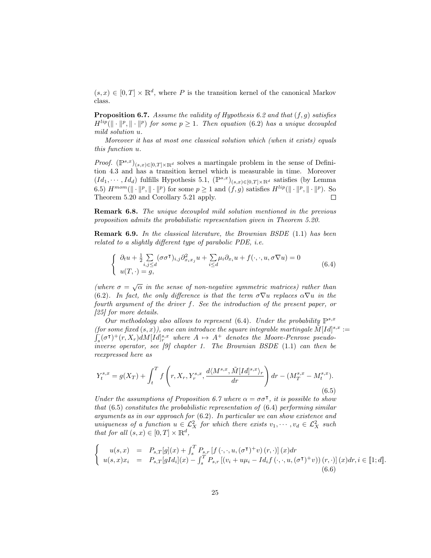$(s, x) \in [0, T] \times \mathbb{R}^d$ , where P is the transition kernel of the canonical Markov class.

**Proposition 6.7.** Assume the validity of Hypothesis 6.2 and that  $(f, g)$  satisfies  $H^{lip}(\|\cdot\|^p, \|\cdot\|^p)$  for some  $p \geq 1$ . Then equation (6.2) has a unique decoupled mild solution u.

Moreover it has at most one classical solution which (when it exists) equals this function u.

*Proof.*  $(\mathbb{P}^{s,x})_{(s,x)\in[0,T]\times\mathbb{R}^d}$  solves a martingale problem in the sense of Definition 4.3 and has a transition kernel which is measurable in time. Moreover  $(Id_1, \dots, Id_d)$  fulfills Hypothesis 5.1,  $(\mathbb{P}^{s,x})_{(s,x)\in[0,T]\times\mathbb{R}^d}$  satisfies (by Lemma 6.5)  $H^{mom}(\|\cdot\|^p, \|\cdot\|^p)$  for some  $p \ge 1$  and  $(f, g)$  satisfies  $H^{lip}(\|\cdot\|^p, \|\cdot\|^p)$ . So Theorem 5.20 and Corollary 5.21 apply.  $\Box$ 

Remark 6.8. The unique decoupled mild solution mentioned in the previous proposition admits the probabilistic representation given in Theorem 5.20.

Remark 6.9. In the classical literature, the Brownian BSDE (1.1) has been related to a slightly different type of parabolic PDE, i.e.

$$
\begin{cases} \n\partial_t u + \frac{1}{2} \sum_{i,j \leq d} (\sigma \sigma^{\mathsf{T}})_{i,j} \partial_{x_i x_j}^2 u + \sum_{i \leq d} \mu_i \partial_{x_i} u + f(\cdot, \cdot, u, \sigma \nabla u) = 0 \\
u(T, \cdot) = g, \n\end{cases} \n\tag{6.4}
$$

(where  $\sigma = \sqrt{\alpha}$  in the sense of non-negative symmetric matrices) rather than (6.2). In fact, the only difference is that the term  $\sigma \nabla u$  replaces  $\alpha \nabla u$  in the fourth argument of the driver f. See the introduction of the present paper, or [25] for more details.

Our methodology also allows to represent (6.4). Under the probability  $\mathbb{P}^{s,x}$ (for some fixed  $(s, x)$ ), one can introduce the square integrable martingale  $\tilde{M}[Id]^{s,x}$  :=  $\int_{s}^{s}(\sigma^{\intercal})^{+}(r,X_{r})dM[Id]_{r}^{s,x}$  where  $A \mapsto A^{+}$  denotes the Moore-Penrose pseudoinverse operator, see [9] chapter 1. The Brownian BSDE (1.1) can then be reexpressed here as

$$
Y_t^{s,x} = g(X_T) + \int_t^T f\left(r, X_r, Y_r^{s,x}, \frac{d\langle M^{s,x}, \tilde{M}[Id]^{s,x}\rangle_r}{dr}\right) dr - (M_T^{s,x} - M_t^{s,x}).
$$
\n(6.5)

Under the assumptions of Proposition 6.7 where  $\alpha = \sigma \sigma^{\dagger}$ , it is possible to show that  $(6.5)$  constitutes the probabilistic representation of  $(6.4)$  performing similar arguments as in our approach for (6.2). In particular we can show existence and uniqueness of a function  $u \in \mathcal{L}_X^2$  for which there exists  $v_1, \dots, v_d \in \mathcal{L}_X^2$  such that for all  $(s, x) \in [0, T] \times \mathbb{R}^d$ ,

$$
\begin{cases}\n u(s,x) &= P_{s,T}[g](x) + \int_s^T P_{s,r}[f(\cdot,\cdot,u,(\sigma^\intercal)^+v)(r,\cdot)](x)dr \\
 u(s,x)x_i &= P_{s,T}[gId_i](x) - \int_s^T P_{s,r}[(v_i + u\mu_i - Id_if(\cdot,\cdot,u,(\sigma^\intercal)^+v))(r,\cdot)](x)dr, i \in [\![1;d]\!].\n\end{cases}
$$
\n
$$
(6.6)
$$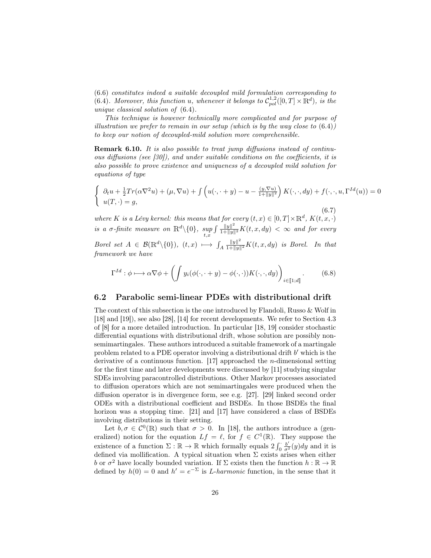(6.6) constitutes indeed a suitable decoupled mild formulation corresponding to (6.4). Moreover, this function u, whenever it belongs to  $C_{pol}^{1,2}([0,T]\times\mathbb{R}^d)$ , is the unique classical solution of (6.4).

This technique is however technically more complicated and for purpose of illustration we prefer to remain in our setup (which is by the way close to  $(6.4)$ ) to keep our notion of decoupled-mild solution more comprehensible.

Remark 6.10. It is also possible to treat jump diffusions instead of continuous diffusions (see [30]), and under suitable conditions on the coefficients, it is also possible to prove existence and uniqueness of a decoupled mild solution for equations of type

$$
\begin{cases} \n\partial_t u + \frac{1}{2} Tr(\alpha \nabla^2 u) + (\mu, \nabla u) + \int \left( u(\cdot, \cdot + y) - u - \frac{(y, \nabla u)}{1 + \|y\|^2} \right) K(\cdot, \cdot, dy) + f(\cdot, \cdot, u, \Gamma^{Id}(u)) = 0 \\
u(T, \cdot) = g, \n\end{cases}
$$
\nwhere  $K$  is a Lévy Kernel: this means that for every  $(t, x) \in [0, T] \times \mathbb{R}^d$ ,  $K(t, x, \cdot)$ 

is a  $\sigma$ -finite measure on  $\mathbb{R}^d \setminus \{0\}$ ,  $\sup_{t,x} \int \frac{\|y\|^2}{1+\|y\|^2} K(t,x,dy) < \infty$  and for every

Borel set  $A \in \mathcal{B}(\mathbb{R}^d \setminus \{0\}), \ (t, x) \longmapsto \int_A$  $\frac{\|y\|^2}{1+\|y\|^2}K(t, x, dy)$  is Borel. In that framework we have

$$
\Gamma^{Id}: \phi \longmapsto \alpha \nabla \phi + \left( \int y_i(\phi(\cdot, \cdot + y) - \phi(\cdot, \cdot)) K(\cdot, \cdot, dy) \right)_{i \in [\![ 1; d]\!]}. \tag{6.8}
$$

### 6.2 Parabolic semi-linear PDEs with distributional drift

The context of this subsection is the one introduced by Flandoli, Russo & Wolf in [18] and [19]), see also [28], [14] for recent developments. We refer to Section 4.3 of [8] for a more detailed introduction. In particular [18, 19] consider stochastic differential equations with distributional drift, whose solution are possibly nonsemimartingales. These authors introduced a suitable framework of a martingale problem related to a PDE operator involving a distributional drift  $b'$  which is the derivative of a continuous function. [17] approached the n-dimensional setting for the first time and later developments were discussed by [11] studying singular SDEs involving paracontrolled distributions. Other Markov processes associated to diffusion operators which are not semimartingales were produced when the diffusion operator is in divergence form, see e.g. [27]. [29] linked second order ODEs with a distributional coefficient and BSDEs. In those BSDEs the final horizon was a stopping time. [21] and [17] have considered a class of BSDEs involving distributions in their setting.

Let  $b, \sigma \in C^0(\mathbb{R})$  such that  $\sigma > 0$ . In [18], the authors introduce a (generalized) notion for the equation  $Lf = \ell$ , for  $f \in C^1(\mathbb{R})$ . They suppose the existence of a function  $\Sigma : \mathbb{R} \to \mathbb{R}$  which formally equals  $2 \int_0^{\cdot} \frac{b'}{\sigma^2}(y) dy$  and it is defined via mollification. A typical situation when  $\Sigma$  exists arises when either b or  $\sigma^2$  have locally bounded variation. If  $\Sigma$  exists then the function  $h : \mathbb{R} \to \mathbb{R}$ defined by  $h(0) = 0$  and  $h' = e^{-\Sigma}$  is *L*-harmonic function, in the sense that it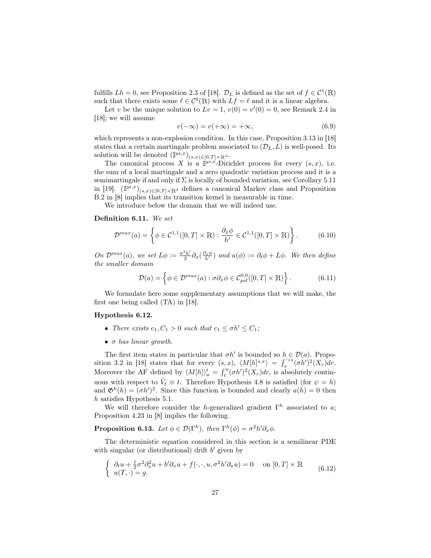fulfills  $Lh = 0$ , see Proposition 2.3 of [18].  $\mathcal{D}_L$  is defined as the set of  $f \in \mathcal{C}^1(\mathbb{R})$ such that there exists some  $\ell \in C^0(\mathbb{R})$  with  $Lf = \ell$  and it is a linear algebra.

Let v be the unique solution to  $Lv = 1$ ,  $v(0) = v'(0) = 0$ , see Remark 2.4 in [18]; we will assume

$$
v(-\infty) = v(+\infty) = +\infty, \tag{6.9}
$$

which represents a non-explosion condition. In this case, Proposition 3.13 in [18] states that a certain martingale problem associated to  $(\mathcal{D}_L, L)$  is well-posed. Its solution will be denoted  $(\mathbb{P}^{s,x})_{(s,x)\in[0,T]\times\mathbb{R}^d}$ .

The canonical process X is a  $\mathbb{P}^{s,x}$ -Dirichlet process for every  $(s,x)$ , i.e. the sum of a local martingale and a zero quadratic variation process and it is a semimartingale if and only if  $\Sigma$  is locally of bounded variation, see Corollary 5.11 in [19].  $(\mathbb{P}^{s,x})_{(s,x)\in[0,T]\times\mathbb{R}^d}$  defines a canonical Markov class and Proposition B.2 in [8] implies that its transition kernel is measurable in time.

We introduce below the domain that we will indeed use.

#### Definition 6.11. We set

$$
\mathcal{D}^{max}(a) = \left\{ \phi \in \mathcal{C}^{1,1}([0,T] \times \mathbb{R}) : \frac{\partial_x \phi}{h'} \in \mathcal{C}^{1,1}([0,T] \times \mathbb{R}) \right\}.
$$
 (6.10)

On  $\mathcal{D}^{max}(a)$ , we set  $L\phi := \frac{\sigma^2 h'}{2}$  $\frac{2h'}{2}\partial_x(\frac{\partial_x\phi}{h'})$  and  $a(\phi) := \partial_t\phi + L\phi$ . We then define the smaller domain

$$
\mathcal{D}(a) = \left\{ \phi \in \mathcal{D}^{max}(a) : \sigma \partial_x \phi \in C_{pol}^{0,0}([0,T] \times \mathbb{R}) \right\}.
$$
 (6.11)

We formulate here some supplementary assumptions that we will make, the first one being called (TA) in [18].

### Hypothesis 6.12.

- There exists  $c_1, C_1 > 0$  such that  $c_1 \leq \sigma h' \leq C_1$ ;
- $\bullet$   $\sigma$  has linear growth.

The first item states in particular that  $\sigma h'$  is bounded so  $h \in \mathcal{D}(a)$ . Proposition 3.2 in [18] states that for every  $(s, x)$ ,  $\langle M[h]^{s,x} \rangle = \int_s^{\sqrt{5}} (\sigma h')^2 (X_r) dr$ . Moreover the AF defined by  $\langle M[h]\rangle_u^t = \int_t^u (\sigma h')^2(X_r) dr$ , is absolutely continuous with respect to  $\hat{V}_t \equiv t$ . Therefore Hypothesis 4.8 is satisfied (for  $\psi = h$ ) and  $\mathfrak{G}^h(h) = (\sigma h')^2$ . Since this function is bounded and clearly  $a(h) = 0$  then h satisfies Hypothesis 5.1.

We will therefore consider the h-generalized gradient  $\Gamma^h$  associated to a; Proposition 4.23 in [8] implies the following.

**Proposition 6.13.** Let  $\phi \in \mathcal{D}(\Gamma^h)$ , then  $\Gamma^h(\phi) = \sigma^2 h' \partial_x \phi$ .

The deterministic equation considered in this section is a semilinear PDE with singular (or distributional) drift  $b'$  given by

$$
\begin{cases} \partial_t u + \frac{1}{2}\sigma^2 \partial_x^2 u + b' \partial_x u + f(\cdot, \cdot, u, \sigma^2 h' \partial_x u) = 0 & \text{on } [0, T] \times \mathbb{R} \\ u(T, \cdot) = g. \end{cases} \tag{6.12}
$$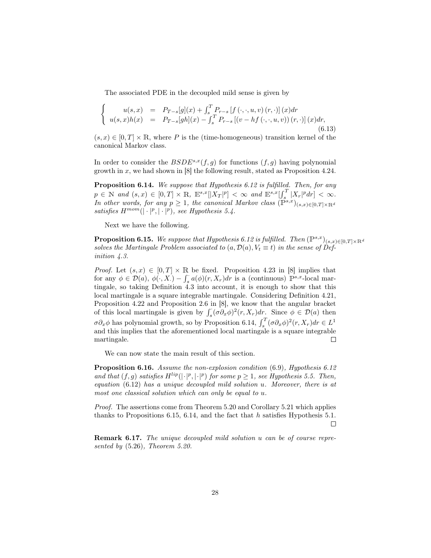The associated PDE in the decoupled mild sense is given by

$$
\begin{cases}\n u(s,x) &= P_{T-s}[g](x) + \int_s^T P_{r-s}[f(\cdot,\cdot,u,v)(r,\cdot)](x)dr \\
 u(s,x)h(x) &= P_{T-s}[gh](x) - \int_s^T P_{r-s}[(v - hf(\cdot,\cdot,u,v))(r,\cdot)](x)dr,\n\end{cases}\n\tag{6.13}
$$

 $(s, x) \in [0, T] \times \mathbb{R}$ , where P is the (time-homogeneous) transition kernel of the canonical Markov class.

In order to consider the  $BSDE^{s,x}(f,g)$  for functions  $(f,g)$  having polynomial growth in  $x$ , we had shown in [8] the following result, stated as Proposition 4.24.

Proposition 6.14. We suppose that Hypothesis 6.12 is fulfilled. Then, for any  $p \in \mathbb{N}$  and  $(s, x) \in [0, T] \times \mathbb{R}$ ,  $\mathbb{E}^{s,x}[|X_T|^p] < \infty$  and  $\mathbb{E}^{s,x}[ \int_s^T |X_r|^p dr ] < \infty$ . In other words, for any  $p \geq 1$ , the canonical Markov class  $(\mathbb{P}^{s,x})_{(s,x)\in[0,T]\times\mathbb{R}^d}$ satisfies  $H^{mom}(|\cdot|^p, |\cdot|^p)$ , see Hypothesis 5.4.

Next we have the following.

**Proposition 6.15.** We suppose that Hypothesis 6.12 is fulfilled. Then  $(\mathbb{P}^{s,x})_{(s,x)\in[0,T]\times\mathbb{R}^d}$ solves the Martingale Problem associated to  $(a, \mathcal{D}(a), V_t \equiv t)$  in the sense of Definition 4.3.

*Proof.* Let  $(s, x) \in [0, T] \times \mathbb{R}$  be fixed. Proposition 4.23 in [8] implies that for any  $\phi \in \mathcal{D}(a), \phi(\cdot, X) - \int_s^s a(\phi)(r, X_r) dr$  is a (continuous)  $\mathbb{P}^{s,x}$ -local martingale, so taking Definition 4.3 into account, it is enough to show that this local martingale is a square integrable martingale. Considering Definition 4.21, Proposition 4.22 and Proposition 2.6 in [8], we know that the angular bracket of this local martingale is given by  $\int_s^s (\sigma \partial_x \phi)^2 (r, X_r) dr$ . Since  $\phi \in \mathcal{D}(a)$  then  $\sigma \partial_x \phi$  has polynomial growth, so by Proposition 6.14,  $\int_s^T (\sigma \partial_x \phi)^2 (r, X_r) dr \in L^1$ and this implies that the aforementioned local martingale is a square integrable martingale.  $\Box$ 

We can now state the main result of this section.

Proposition 6.16. Assume the non-explosion condition (6.9), Hypothesis 6.12 and that  $(f, g)$  satisfies  $H^{lip}(|\cdot|^p, |\cdot|^p)$  for some  $p \geq 1$ , see Hypothesis 5.5. Then, equation (6.12) has a unique decoupled mild solution u. Moreover, there is at most one classical solution which can only be equal to u.

Proof. The assertions come from Theorem 5.20 and Corollary 5.21 which applies thanks to Propositions 6.15, 6.14, and the fact that  $h$  satisfies Hypothesis 5.1.  $\Box$ 

Remark 6.17. The unique decoupled mild solution u can be of course represented by (5.26), Theorem 5.20.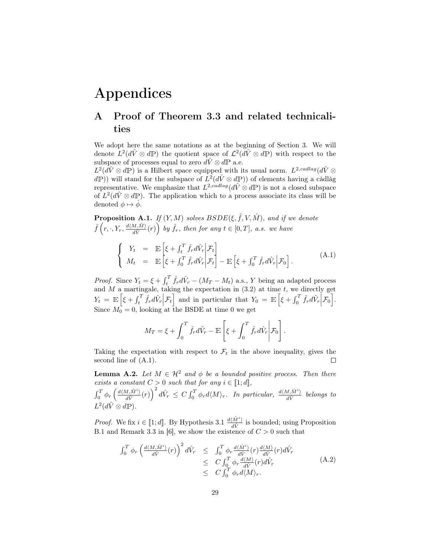# Appendices

# A Proof of Theorem 3.3 and related technicalities

We adopt here the same notations as at the beginning of Section 3. We will denote  $L^2(d\hat{V} \otimes d\mathbb{P})$  the quotient space of  $\mathcal{L}^2(d\hat{V} \otimes d\mathbb{P})$  with respect to the subspace of processes equal to zero  $d\hat{V} \otimes d\mathbb{P}$  a.e.

 $L^2(d\hat{V}\otimes d\mathbb{P})$  is a Hilbert space equipped with its usual norm.  $L^{2,cadlag}(d\hat{V}\otimes d\mathbb{P})$  $(dP)$ ) will stand for the subspace of  $L^2(d\hat{V} \otimes dP)$  of elements having a càdlàg representative. We emphasize that  $L^{2,cadlag}(d\hat{V} \otimes d\mathbb{P})$  is not a closed subspace of  $L^2(d\hat{V}\otimes d\mathbb{P})$ . The application which to a process associate its class will be denoted  $\phi \mapsto \dot{\phi}$ .

**Proposition A.1.** If  $(Y, M)$  solves  $BSDE(\xi, \hat{f}, V, \hat{M})$ , and if we denote  $\widehat{f}\left(r,\cdot,Y_r,\frac{d\langle M,\hat{M}\rangle}{d\hat{V}}\right)$  $\left(\frac{M,\hat{M}}{d\hat{V}}(r)\right)$  by  $\hat{f}_r$ , then for any  $t \in [0,T]$ , a.s. we have

$$
\begin{cases}\nY_t &= \mathbb{E}\left[\xi + \int_t^T \hat{f}_r d\hat{V}_r \middle| \mathcal{F}_t\right] \\
M_t &= \mathbb{E}\left[\xi + \int_0^T \hat{f}_r d\hat{V}_r \middle| \mathcal{F}_t\right] - \mathbb{E}\left[\xi + \int_0^T \hat{f}_r d\hat{V}_r \middle| \mathcal{F}_0\right].\n\end{cases} (A.1)
$$

*Proof.* Since  $Y_t = \xi + \int_t^T \hat{f}_r d\hat{V}_r - (M_T - M_t)$  a.s., Y being an adapted process and  $M$  a martingale, taking the expectation in  $(3.2)$  at time  $t$ , we directly get  $Y_t = \mathbb{E}\left[\xi + \int_t^T \hat{f}_r d\hat{V}_r \Big| \mathcal{F}_t\right]$  and in particular that  $Y_0 = \mathbb{E}\left[\xi + \int_0^T \hat{f}_r d\hat{V}_r \Big| \mathcal{F}_0\right]$ . Since  $M_0 = 0$ , looking at the BSDE at time 0 we get

$$
M_T = \xi + \int_0^T \hat{f}_r d\hat{V}_r - \mathbb{E}\left[\xi + \int_0^T \hat{f}_r d\hat{V}_r \middle| \mathcal{F}_0\right].
$$

Taking the expectation with respect to  $\mathcal{F}_t$  in the above inequality, gives the second line of (A.1). second line of (A.1).

**Lemma A.2.** Let  $M \in \mathcal{H}^2$  and  $\phi$  be a bounded positive process. Then there exists a constant  $C > 0$  such that for any  $i \in [1; d]$ ,

 $\int_0^T \phi_r \left( \frac{d \langle M, \hat{M}^i \rangle}{d\hat{V}}(r) \right)^2 d\hat{V}_r \leq C \int_0^T \phi_r d \langle M \rangle_r$ . In particular,  $\frac{d \langle M, \hat{M}^i \rangle}{d\hat{V}}$  belongs to  $L^2(d\hat{V}\otimes d\mathbb{P}).$ 

*Proof.* We fix  $i \in [\![1;d]\!]$ . By Hypothesis 3.1  $\frac{d\langle \hat{M}^i \rangle}{d\hat{V}}$  is bounded; using Proposition B.1 and Remark 3.3 in [6], we show the existence of  $C > 0$  such that

$$
\int_0^T \phi_r \left( \frac{d \langle M, \hat{M}^i \rangle}{d\hat{V}}(r) \right)^2 d\hat{V}_r \leq \int_0^T \phi_r \frac{d \langle \hat{M}^i \rangle}{d\hat{V}}(r) \frac{d \langle M \rangle}{d\hat{V}}(r) d\hat{V}_r \leq C \int_0^T \phi_r \frac{d \langle M \rangle}{d\hat{V}}(r) d\hat{V}_r \leq C \int_0^T \phi_r d \langle M \rangle_r.
$$
\n(A.2)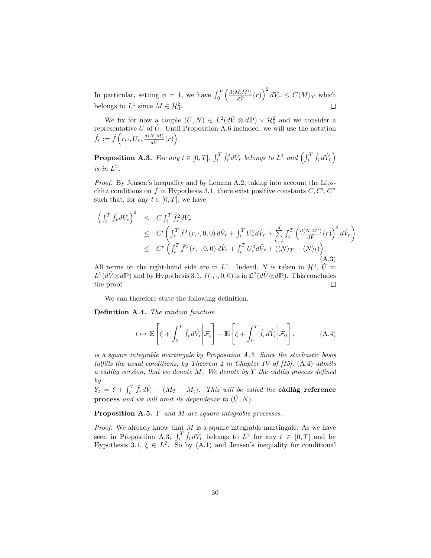In particular, setting  $\phi = 1$ , we have  $\int_0^T \left( \frac{d(M, \hat{M}^i)}{d\hat{V}}(r) \right)^2 d\hat{V}_r \le C\langle M \rangle_T$  which belongs to  $L^1$  since  $M \in \mathcal{H}_0^2$ .  $\Box$ 

We fix for now a couple  $(U, N) \in L^2(d\hat{V} \otimes d\mathbb{P}) \times \mathcal{H}_0^2$  and we consider a representative U of  $\dot{U}$ . Until Proposition A.6 included, we will use the notation  $\hat{f}_r := \hat{f}\left(r,\cdot,U_r,\frac{d\langle N, \hat{M}\rangle}{d\hat{V}}\right)$  $\frac{N,\hat{M}\rangle}{d\hat{V}}(r)\Big).$ 

**Proposition A.3.** For any  $t \in [0,T]$ ,  $\int_t^T \hat{f}_r^2 d\hat{V}_r$  belongs to  $L^1$  and  $\left(\int_t^T \hat{f}_r d\hat{V}_r\right)$ is in  $L^2$ .

Proof. By Jensen's inequality and by Lemma A.2, taking into account the Lipschitz conditions on  $\hat{f}$  in Hypothesis 3.1, there exist positive constants  $C, C', C''$ such that, for any  $t \in [0, T]$ , we have

$$
\begin{split}\n\left(\int_{t}^{T} \hat{f}_{r} d\hat{V}_{r}\right)^{2} &\leq C \int_{t}^{T} \hat{f}_{r}^{2} d\hat{V}_{r} \\
&\leq C' \left(\int_{t}^{T} \hat{f}^{2} \left(r, \cdot, 0, 0\right) d\hat{V}_{r} + \int_{t}^{T} U_{r}^{2} d\hat{V}_{r} + \sum_{i=1}^{d} \int_{t}^{T} \left(\frac{d\langle N, \hat{M}^{i} \rangle}{d\hat{V}} \left(r\right)\right)^{2} d\hat{V}_{r}\right) \\
&\leq C'' \left(\int_{t}^{T} \hat{f}^{2} \left(r, \cdot, 0, 0\right) d\hat{V}_{r} + \int_{t}^{T} U_{r}^{2} d\hat{V}_{r} + \left(\langle N \rangle_{T} - \langle N \rangle_{t}\right)\right).\n\end{split}
$$
\n(A.3)

All terms on the right-hand side are in  $L^1$ . Indeed, N is taken in  $\mathcal{H}^2$ , U in  $L^2(d\hat{V}\otimes d\mathbb{P})$  and by Hypothesis 3.1,  $f(\cdot,\cdot,0,0)$  is in  $\mathcal{L}^2(d\hat{V}\otimes d\mathbb{P})$ . This concludes the proof.

We can therefore state the following definition.

Definition A.4. The random function

$$
t \mapsto \mathbb{E}\left[\xi + \int_0^T \hat{f}_r d\hat{V}_r \bigg| \mathcal{F}_t\right] - \mathbb{E}\left[\xi + \int_0^T \hat{f}_r d\hat{V}_r \bigg| \mathcal{F}_0\right],\tag{A.4}
$$

is a square integrable martingale by Proposition A.3. Since the stochastic basis fulfills the usual conditions, by Theorem 4 in Chapter IV of  $[15]$ ,  $(A.4)$  admits a càdlàg version, that we denote M. We denote by Y the càdlàg process defined by

 $Y_t = \xi + \int_t^T \hat{f}_r d\hat{V}_r - (M_T - M_t)$ . This will be called the **càdlàg reference process** and we will omit its dependence to  $(\dot{U}, N)$ .

Proposition A.5. Y and M are square integrable processes.

*Proof.* We already know that  $M$  is a square integrable martingale. As we have seen in Proposition A.3,  $\int_t^T \hat{f}_r d\hat{V}_r$  belongs to  $L^2$  for any  $t \in [0, T]$  and by Hypothesis 3.1,  $\xi \in L^2$ . So by (A.1) and Jensen's inequality for conditional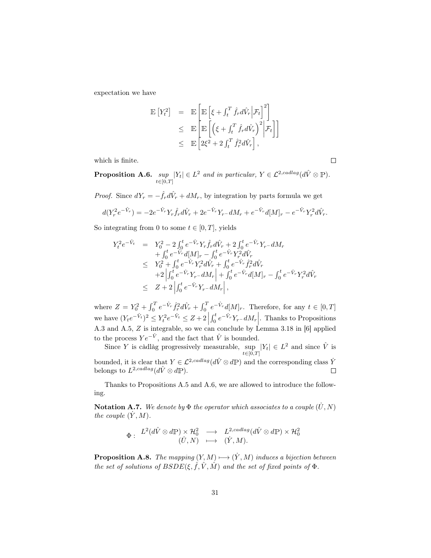expectation we have

$$
\mathbb{E}\left[Y_t^2\right] = \mathbb{E}\left[\mathbb{E}\left[\xi + \int_t^T \hat{f}_r d\hat{V}_r \Big| \mathcal{F}_t\right]^2\right] \n\leq \mathbb{E}\left[\mathbb{E}\left[\left(\xi + \int_t^T \hat{f}_r d\hat{V}_r\right)^2 \Big| \mathcal{F}_t\right]\right] \n\leq \mathbb{E}\left[2\xi^2 + 2\int_t^T \hat{f}_r^2 d\hat{V}_r\right],
$$

which is finite.

Proposition A.6. sup  $\sup_{t\in[0,T]} |Y_t| \in L^2$  and in particular,  $Y \in \mathcal{L}^{2, cadlag}(d\hat{V} \otimes \mathbb{P}).$ 

*Proof.* Since  $dY_r = -\hat{f}_r d\hat{V}_r + dM_r$ , by integration by parts formula we get

$$
d(Y_r^2 e^{-\hat{V}_r}) = -2e^{-\hat{V}_r} Y_r \hat{f}_r d\hat{V}_r + 2e^{-\hat{V}_r} Y_r - dM_r + e^{-\hat{V}_r} d[M]_r - e^{-\hat{V}_r} Y_r^2 d\hat{V}_r.
$$

So integrating from 0 to some  $t \in [0, T]$ , yields

$$
\begin{array}{rcl} Y_{t}^{2}e^{-\hat{V}_{t}} & = & Y_{0}^{2}-2\int_{0}^{t}e^{-\hat{V}_{r}}Y_{r}\hat{f}_{r}d\hat{V}_{r}+2\int_{0}^{t}e^{-\hat{V}_{r}}Y_{r}-dM_{r}\\ & & +\int_{0}^{t}e^{-\hat{V}_{r}}d[M]_{r}-\int_{0}^{t}e^{-\hat{V}_{r}}Y_{r}^{2}d\hat{V}_{r}\\ & \leq & Y_{0}^{2}+\int_{0}^{t}e^{-\hat{V}_{r}}Y_{r}^{2}d\hat{V}_{r}+\int_{0}^{t}e^{-\hat{V}_{r}}\hat{f}_{r}^{2}d\hat{V}_{r}\\ & & +2\left|\int_{0}^{t}e^{-\hat{V}_{r}}Y_{r}-dM_{r}\right|+\int_{0}^{t}e^{-\hat{V}_{r}}d[M]_{r}-\int_{0}^{t}e^{-\hat{V}_{r}}Y_{r}^{2}d\hat{V}_{r}\\ & \leq & Z+2\left|\int_{0}^{t}e^{-\hat{V}_{r}}Y_{r}-dM_{r}\right|, \end{array}
$$

where  $Z = Y_0^2 + \int_0^T e^{-\hat{V}_r} \hat{f}_r^2 d\hat{V}_r + \int_0^T e^{-\hat{V}_r} d[M]_r$ . Therefore, for any  $t \in [0, T]$ we have  $(Y_t e^{-\hat{V}_t})^2 \leq Y_t^2 e^{-\hat{V}_t} \leq Z + 2 \left| \int_0^t e^{-\hat{V}_r} Y_{r-} dM_r \right|$ . Thanks to Propositions A.3 and A.5, Z is integrable, so we can conclude by Lemma 3.18 in [6] applied to the process  $Ye^{-\hat{V}}$ , and the fact that  $\hat{V}$  is bounded.

Since Y is càdlàg progressively measurable, sup  $\sup_{t\in[0,T]} |Y_t| \in L^2$  and since  $\hat{V}$  is bounded, it is clear that  $Y \in \mathcal{L}^{2,cadlag}(d\hat{V} \otimes d\mathbb{P})$  and the corresponding class  $\dot{Y}$ <br>belongs to  $L^{2,cadlag}(d\hat{V} \otimes d\mathbb{P})$ . belongs to  $L^{2,cadlag}(d\hat{V} \otimes d\mathbb{P}).$ 

Thanks to Propositions A.5 and A.6, we are allowed to introduce the following.

**Notation A.7.** We denote by  $\Phi$  the operator which associates to a couple  $(U, N)$ the couple  $(Y, M)$ .

$$
\Phi: \begin{array}{ccc} L^2(d\hat{V}\otimes d\mathbb{P})\times \mathcal{H}_0^2 & \longrightarrow & L^{2, cadlag}(d\hat{V}\otimes d\mathbb{P})\times \mathcal{H}_0^2 \\ (U,N) & \longmapsto & (\dot{Y},M).\end{array}
$$

**Proposition A.8.** The mapping  $(Y, M) \rightarrow (Y, M)$  induces a bijection between the set of solutions of  $BSDE(\xi, \hat{f}, \hat{V}, \hat{M})$  and the set of fixed points of  $\Phi$ .

 $\Box$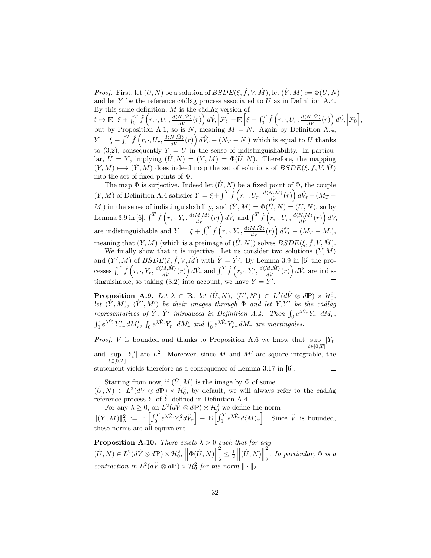*Proof.* First, let  $(U, N)$  be a solution of  $BSDE(\xi, \hat{f}, V, \hat{M})$ , let  $(\dot{Y}, M) := \Phi(\dot{U}, N)$ and let  $Y$  be the reference càdlàg process associated to  $U$  as in Definition A.4. By this same definition,  $M$  is the càdlàg version of

 $t\mapsto \mathbb{E}\left[\xi+\int_0^T\hat{f}\left(r,\cdot,U_r,\frac{d\langle N,\hat{M}\rangle}{d\hat{V}}(r)\right)d\hat{V}_r\Big|\mathcal{F}_t\right]-\mathbb{E}\left[\xi+\int_0^T\hat{f}\left(r,\cdot,U_r,\frac{d\langle N,\hat{M}\rangle}{d\hat{V}}(r)\right)d\hat{V}_r\Big|\mathcal{F}_0\right],$  $\frac{N_{\rm A}\hat{M}}{d\hat{V}}(r)\bigg\,d\hat{V}_r\bigg|\mathcal{F}_t\bigg]-\mathbb{E}\left[\xi+\int_0^T\hat{f}\left(r,\cdot,U_r,\frac{d\langle N,\hat{M}\rangle}{d\hat{V}}(r)\right)d\hat{V}_r\bigg|\mathcal{F}_0\right],$  $\frac{\partial N,\hat{M}\rangle}{d\hat{V}}(r)\bigg)\,d\hat{V}_r\bigg|\mathcal{F}_0\bigg],$ but by Proposition A.1, so is N, meaning  $M = N$ . Again by Definition A.4,  $Y = \xi + \int_{\cdot}^{T} \hat{f}\left(r, \cdot, U_r, \frac{d\langle N, \hat{M} \rangle}{d\hat{V}}\right)$  $\frac{dN_{\gamma}(\hat{M})}{d\hat{V}}(r)\bigg)d\hat{V}_r - (N_T - N_{\gamma})$  which is equal to U thanks to (3.2), consequently  $Y = U$  in the sense of indistinguishability. In particular,  $\dot{U} = \dot{Y}$ , implying  $(\dot{U}, N) = (\dot{Y}, M) = \Phi(\dot{U}, N)$ . Therefore, the mapping  $(Y, M) \longrightarrow (Y, M)$  does indeed map the set of solutions of  $BSDE(\xi, \hat{f}, V, \hat{M})$ into the set of fixed points of Φ.

The map  $\Phi$  is surjective. Indeed let  $(U, N)$  be a fixed point of  $\Phi$ , the couple  $(Y, M)$  of Definition A.4 satisfies  $Y = \xi + \int_{-T}^{T} \hat{f}(r, \cdot, U_r, \frac{d \langle N, \hat{M} \rangle}{d\hat{V}})$  $\frac{\partial N_i \hat{M}}{\partial \hat{V}}(r)\bigg)\,d\hat{V}_r - (M_T -$ M.) in the sense of indistinguishability, and  $(\dot{Y}, M) = \Phi(\dot{U}, N) = (\dot{U}, N)$ , so by Lemma 3.9 in [6],  $\int_\cdot^T \hat{f}\left(r,\cdot,Y_r,\frac{d\langle M,\hat{M}\rangle}{d\hat{V}}\right)$  $\frac{dM,\hat{M}\rangle}{d\hat{V}}(r)\bigg)\,d\hat{V}_r\text{ and }\int^T_{\cdot}\hat{f}\left(r,\cdot,U_r,\frac{d\langle N,\hat{M}\rangle}{d\hat{V}}\right)$  $\frac{\partial N,\hat{M}\rangle}{d\hat{V}}(r)\bigg)\,d\hat{V}_r$ are indistinguishable and  $Y = \xi + \int_{\cdot}^{T} \hat{f}(r, \cdot, Y_r, \frac{d \langle M, \hat{M} \rangle}{d\hat{V}})$  $\frac{d\hat{M},\hat{M}\rangle}{d\hat{V}}(r)\Bigl)\,d\hat{V}_r\,-\,(M_T-M_\cdot),$ meaning that  $(Y, M)$  (which is a preimage of  $(\dot{U}, N)$ ) solves  $BSDE(\xi, \hat{f}, V, \hat{M})$ .

We finally show that it is injective. Let us consider two solutions  $(Y, M)$ and  $(Y', M)$  of  $BSDE(\xi, \hat{f}, V, \hat{M})$  with  $\dot{Y} = \dot{Y}'$ . By Lemma 3.9 in [6] the processes  $\int_{.}^{T} \hat{f}\left(r, \cdot, Y_{r}, \frac{d\langle M, \hat{M}\rangle}{d\hat{V}}\right)$  $\frac{d\hat{d}\hat{d}\hat{V}}{d\hat{V}}(r)\Big)\,d\hat{V}_r\,\,\text{and}\,\,\int_{\cdot}^T\hat{f}\left(r,\cdot,Y_r',\frac{d\langle M,\hat{M}\rangle}{d\hat{V}}\right)$  $\frac{d\hat{M},\hat{M}\rangle}{d\hat{V}}(r)\bigg)\,d\hat{V}_r\,\,\text{are\,indis-}$ tinguishable, so taking (3.2) into account, we have  $Y = Y'$ .

**Proposition A.9.** Let  $\lambda \in \mathbb{R}$ , let  $(U, N)$ ,  $(U', N') \in L^2(d\hat{V} \otimes d\mathbb{P}) \times \mathcal{H}_0^2$ , let  $(Y, M)$ ,  $(Y', M')$  be their images through  $\Phi$  and let  $Y, Y'$  be the càdlàg representatives of  $\dot{Y}$ ,  $\dot{Y}'$  introduced in Definition A.4. Then  $\int_0^{\cdot} e^{\lambda \hat{V}_r} Y_r - dM_r$ ,  $\int_0^{\cdot} e^{\lambda \hat{V}_r} Y'_r dM'_r$ ,  $\int_0^{\cdot} e^{\lambda \hat{V}_r} Y_r - dM'_r$  and  $\int_0^{\cdot} e^{\lambda \hat{V}_r} Y'_r - dM_r$  are martingales.

*Proof.*  $\hat{V}$  is bounded and thanks to Proposition A.6 we know that  $\sup_{t\in[0,\infty]} |Y_t|$  $t \in [0,T]$ and  $\sup_{t\in[0,T]} |Y_t'|$  are  $L^2$ . Moreover, since M and M' are square integrable, the  $t\in[0,T]$ statement yields therefore as a consequence of Lemma 3.17 in [6].  $\Box$ 

Starting from now, if  $(Y, M)$  is the image by  $\Phi$  of some  $(U, N) \in L^2(d\hat{V} \otimes d\mathbb{P}) \times \mathcal{H}_0^2$ , by default, we will always refer to the càdlàg reference process  $Y$  of  $\overline{Y}$  defined in Definition A.4.

For any  $\lambda \geq 0$ , on  $L^2(d\hat{V} \otimes dP) \times \mathcal{H}^2_0$  we define the norm  $\|(\dot{Y}, M)\|_{\lambda}^2 := \mathbb{E}\left[\int_0^T e^{\lambda \hat{V}_r} Y_r^2 d\hat{V}_r\right] + \mathbb{E}\left[\int_0^T e^{\lambda \hat{V}_r} d\langle M \rangle_r\right]$ . Since  $\hat{V}$  is bounded, these norms are all equivalent.

**Proposition A.10.** There exists  $\lambda > 0$  such that for any  $(\dot{U}, N) \in L^2(d\hat{V} \otimes d\mathbb{P}) \times \mathcal{H}_0^2, \ \left\| \Phi(\dot{U}, N) \right\|$ 2  $\frac{2}{\lambda} \leq \frac{1}{2} \left\| (\dot{U}, N) \right\|$ 2 . In particular,  $\Phi$  is a contraction in  $L^2(d\hat{V} \otimes d\mathbb{P}) \times \mathcal{H}_0^2$  for the norm  $\|\cdot\|_{\lambda}$ .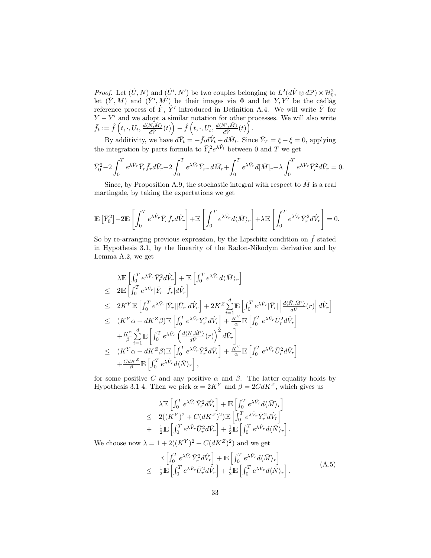*Proof.* Let  $(U, N)$  and  $(U', N')$  be two couples belonging to  $L^2(d\hat{V} \otimes d\mathbb{P}) \times \mathcal{H}_0^2$ , let  $(Y, M)$  and  $(Y', M')$  be their images via  $\Phi$  and let  $Y, Y'$  be the càdlag reference process of  $\dot{Y}$ ,  $\dot{Y}'$  introduced in Definition A.4. We will write  $\bar{Y}$  for  $Y - Y'$  and we adopt a similar notation for other processes. We will also write  $\bar{f}_t := \hat{f}\left(t,\cdot,U_t,\frac{d\langle N, \hat{M}\rangle}{d\hat{V}}\right)$  $\frac{\partial \overline{\hat{M}}\hat{M}}{\partial \hat{V}}(t)\Big)-\hat{f}\left(t,\cdot,U'_t,\frac{d\langle N',\hat{M}\rangle}{d\hat{V}}\right)$  $\frac{\nabla',\hat{M}\rangle}{d\hat{V}}(t)\Big)\,.$ 

By additivity, we have  $d\bar{Y}_t = -\bar{f}_t d\hat{V}_t + d\bar{M}_t$ . Since  $\bar{Y}_T = \xi - \xi = 0$ , applying the integration by parts formula to  $\bar{Y}_t^2 e^{\lambda \hat{V}_t}$  between 0 and T we get

$$
\bar{Y}_0^2 - 2\int_0^T e^{\lambda \hat{V}_r} \bar{Y}_r \bar{f}_r d\hat{V}_r + 2\int_0^T e^{\lambda \hat{V}_r} \bar{Y}_r - d\bar{M}_r + \int_0^T e^{\lambda \hat{V}_r} d[\bar{M}]_r + \lambda \int_0^T e^{\lambda \hat{V}_r} \bar{Y}_r^2 d\hat{V}_r = 0.
$$

Since, by Proposition A.9, the stochastic integral with respect to  $\overline{M}$  is a real martingale, by taking the expectations we get

$$
\mathbb{E}\left[\bar{Y}_0^2\right] - 2\mathbb{E}\left[\int_0^T e^{\lambda \hat{V}_r} \bar{Y}_r \bar{f}_r d\hat{V}_r\right] + \mathbb{E}\left[\int_0^T e^{\lambda \hat{V}_r} d\langle \bar{M} \rangle_r\right] + \lambda \mathbb{E}\left[\int_0^T e^{\lambda \hat{V}_r} \bar{Y}_r^2 d\hat{V}_r\right] = 0.
$$

So by re-arranging previous expression, by the Lipschitz condition on  $\hat{f}$  stated in Hypothesis 3.1, by the linearity of the Radon-Nikodym derivative and by Lemma A.2, we get

$$
\lambda \mathbb{E} \left[ \int_0^T e^{\lambda \hat{V}_r} \bar{Y}_r^2 d\hat{V}_r \right] + \mathbb{E} \left[ \int_0^T e^{\lambda \hat{V}_r} d\langle \bar{M} \rangle_r \right] \n\leq 2 \mathbb{E} \left[ \int_0^T e^{\lambda \hat{V}_r} |\bar{Y}_r| |\bar{f}_r| d\hat{V}_r \right] \n\leq 2K^Y \mathbb{E} \left[ \int_0^T e^{\lambda \hat{V}_r} |\bar{Y}_r| |\bar{U}_r| d\hat{V}_r \right] + 2K^Z \sum_{i=1}^d \mathbb{E} \left[ \int_0^T e^{\lambda \hat{V}_r} |\bar{Y}_r| \left| \frac{d\langle \bar{N}, \hat{M}^i \rangle}{d\hat{V}} (r) \right| d\hat{V}_r \right] \n\leq (K^Y \alpha + dK^Z \beta) \mathbb{E} \left[ \int_0^T e^{\lambda \hat{V}_r} \bar{Y}_r^2 d\hat{V}_r \right] + \frac{K^Y}{\alpha} \mathbb{E} \left[ \int_0^T e^{\lambda \hat{V}_r} \bar{U}_r^2 d\hat{V}_r \right] \n+ \frac{K^Z}{\beta} \sum_{i=1}^d \mathbb{E} \left[ \int_0^T e^{\lambda \hat{V}_r} \left( \frac{d\langle \bar{N}, \hat{M}^i \rangle}{d\hat{V}} (r) \right)^2 d\hat{V}_r \right] \n\leq (K^Y \alpha + dK^Z \beta) \mathbb{E} \left[ \int_0^T e^{\lambda \hat{V}_r} \bar{Y}_r^2 d\hat{V}_r \right] + \frac{K^Y}{\alpha} \mathbb{E} \left[ \int_0^T e^{\lambda \hat{V}_r} \bar{U}_r^2 d\hat{V}_r \right] \n+ \frac{C dK^Z}{\beta} \mathbb{E} \left[ \int_0^T e^{\lambda \hat{V}_r} d\langle \bar{N} \rangle_r \right],
$$

for some positive C and any positive  $\alpha$  and  $\beta$ . The latter equality holds by Hypothesis 3.1 4. Then we pick  $\alpha = 2K^Y$  and  $\beta = 2CdK^Z$ , which gives us

$$
\lambda \mathbb{E} \left[ \int_0^T e^{\lambda \hat{V}_r} \bar{Y}_r^2 d\hat{V}_r \right] + \mathbb{E} \left[ \int_0^T e^{\lambda \hat{V}_r} d\langle \bar{M} \rangle_r \right] \n\leq 2((K^Y)^2 + C(dK^Z)^2) \mathbb{E} \left[ \int_0^T e^{\lambda \hat{V}_r} \bar{Y}_r^2 d\hat{V}_r \right] \n+ \frac{1}{2} \mathbb{E} \left[ \int_0^T e^{\lambda \hat{V}_r} \bar{U}_r^2 d\hat{V}_r \right] + \frac{1}{2} \mathbb{E} \left[ \int_0^T e^{\lambda \hat{V}_r} d\langle \bar{N} \rangle_r \right].
$$

We choose now  $\lambda = 1 + 2((K^Y)^2 + C(dK^Z)^2)$  and we get

$$
\mathbb{E}\left[\int_0^T e^{\lambda \hat{V}_r} \bar{Y}_r^2 d\hat{V}_r\right] + \mathbb{E}\left[\int_0^T e^{\lambda \hat{V}_r} d\langle \bar{M} \rangle_r\right] \n\leq \frac{1}{2} \mathbb{E}\left[\int_0^T e^{\lambda \hat{V}_r} \bar{U}_r^2 d\hat{V}_r\right] + \frac{1}{2} \mathbb{E}\left[\int_0^T e^{\lambda \hat{V}_r} d\langle \bar{N} \rangle_r\right],
$$
\n(A.5)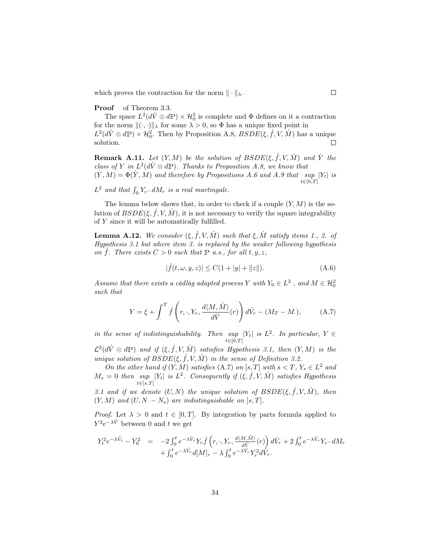which proves the contraction for the norm  $\|\cdot\|_{\lambda}$ .

#### Proof of Theorem 3.3.

The space  $L^2(d\hat{V} \otimes d\mathbb{P}) \times \mathcal{H}_0^2$  is complete and  $\Phi$  defines on it a contraction for the norm  $\|(\cdot, \cdot)\|_{\lambda}$  for some  $\lambda > 0$ , so  $\Phi$  has a unique fixed point in  $L^2(d\hat{V}\otimes d\mathbb{P})\times \mathcal{H}_0^2$ . Then by Proposition A.8,  $BSDE(\xi, \hat{f}, V, \hat{M})$  has a unique solution.  $\Box$ 

**Remark A.11.** Let  $(Y, M)$  be the solution of  $BSDE(\xi, \hat{f}, V, \hat{M})$  and  $\hat{Y}$  the class of Y in  $L^2(d\hat{V}\otimes d\mathbb{P})$ . Thanks to Proposition A.8, we know that  $(Y, M) = \Phi(Y, M)$  and therefore by Propositions A.6 and A.9 that  $\sup_{t \in [0, T]} |Y_t|$  is  $t\in[0,T]$ 

 $L^2$  and that  $\int_0^{\cdot} Y_r - dM_r$  is a real martingale.

The lemma below shows that, in order to check if a couple  $(Y, M)$  is the solution of  $BSDE(\xi, \hat{f}, V, \hat{M})$ , it is not necessary to verify the square integrability of Y since it will be automatically fulfilled.

**Lemma A.12.** We consider  $(\xi, \hat{f}, V, \hat{M})$  such that  $\xi, \hat{M}$  satisfy items 1., 2. of Hypothesis 3.1 but where item 3. is replaced by the weaker following hypothesis on  $\hat{f}$ . There exists  $C > 0$  such that  $\mathbb P$  a.s., for all  $t, y, z$ ,

$$
|\hat{f}(t,\omega,y,z)| \le C(1+|y|+||z||). \tag{A.6}
$$

Assume that there exists a càdlàg adapted process Y with  $Y_0 \in L^2$ , and  $M \in \mathcal{H}_0^2$ such that

$$
Y = \xi + \int_{.}^{T} \hat{f}\left(r, \cdot, Y_{r}, \frac{d\langle M, \hat{M}\rangle}{d\hat{V}}(r)\right) d\hat{V}_{r} - (M_{T} - M_{.}), \tag{A.7}
$$

in the sense of indistinguishability. Then  $\sup_{t\in[0,T]}|Y_t|$  is  $L^2$ . In particular,  $Y \in$  $t\!\in\![0,T]$ 

 $\mathcal{L}^2(d\hat{V}\otimes d\mathbb{P})$  and if  $(\xi, \hat{f}, V, \hat{M})$  satisfies Hypothesis 3.1, then  $(Y, M)$  is the unique solution of  $BSDE(\xi, \hat{f}, V, \hat{M})$  in the sense of Definition 3.2.

On the other hand if  $(Y, M)$  satisfies  $(A.7)$  on  $[s, T]$  with  $s < T, Y_s \in L^2$  and  $M_s = 0$  then  $\sup_{s \in [0, T]} |Y_t|$  is  $L^2$ . Consequently if  $(\xi, \hat{f}, V, \hat{M})$  satisfies Hypothesis  $t\in$ [s,T]

3.1 and if we denote  $(U, N)$  the unique solution of  $BSDE(\xi, \hat{f}, V, \hat{M})$ , then  $(Y, M)$  and  $(U, N. - N_s)$  are indistinguishable on [s, T].

*Proof.* Let  $\lambda > 0$  and  $t \in [0, T]$ . By integration by parts formula applied to  $Y^2 e^{-\lambda \hat{V}}$  between 0 and t we get

$$
Y_t^2 e^{-\lambda \hat{V}_t} - Y_0^2 = -2 \int_0^t e^{-\lambda \hat{V}_r} Y_r \hat{f} \left( r, \cdot, Y_r, \frac{d \langle M, \hat{M} \rangle}{d \hat{V}}(r) \right) d\hat{V}_r + 2 \int_0^t e^{-\lambda \hat{V}_r} Y_r - dM_r + \int_0^t e^{-\lambda \hat{V}_r} d[M]_r - \lambda \int_0^t e^{-\lambda \hat{V}_r} Y_r^2 d\hat{V}_r.
$$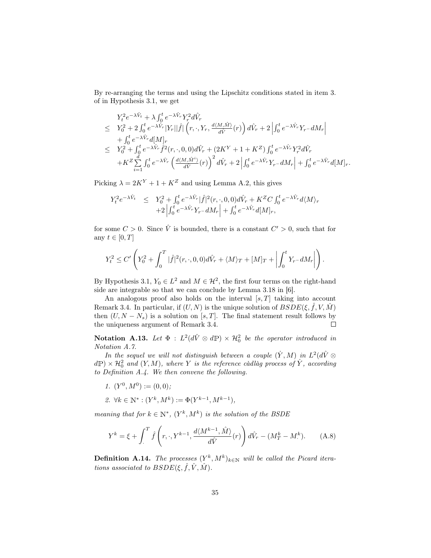By re-arranging the terms and using the Lipschitz conditions stated in item 3. of in Hypothesis 3.1, we get

$$
\begin{split} & Y_t^2 e^{-\lambda \hat{V}_t} + \lambda \int_0^t e^{-\lambda \hat{V}_r} Y_r^2 d\hat{V}_r \\ & \leq Y_0^2 + 2 \int_0^t e^{-\lambda \hat{V}_r} |Y_r| |\hat{f}| \left( r, \cdot, Y_r, \frac{d \langle M, \hat{M} \rangle}{d\hat{V}}(r) \right) d\hat{V}_r + 2 \left| \int_0^t e^{-\lambda \hat{V}_r} Y_{r-} dM_r \right| \\ & + \int_0^t e^{-\lambda \hat{V}_r} d[M]_r \\ & \leq Y_0^2 + \int_0^t e^{-\lambda \hat{V}_r} \hat{f}^2(r, \cdot, 0, 0) d\hat{V}_r + (2K^Y + 1 + K^Z) \int_0^t e^{-\lambda \hat{V}_r} Y_r^2 d\hat{V}_r \\ & + K^Z \sum_{i=1}^d \int_0^t e^{-\lambda \hat{V}_r} \left( \frac{d \langle M, \hat{M}^i \rangle}{d\hat{V}}(r) \right)^2 d\hat{V}_r + 2 \left| \int_0^t e^{-\lambda \hat{V}_r} Y_{r-} dM_r \right| + \int_0^t e^{-\lambda \hat{V}_r} d[M]_r. \end{split}
$$

Picking  $\lambda = 2K^Y + 1 + K^Z$  and using Lemma A.2, this gives

$$
Y_t^2 e^{-\lambda \hat{V}_t} \leq Y_0^2 + \int_0^t e^{-\lambda \hat{V}_r} |\hat{f}|^2(r, \cdot, 0, 0) d\hat{V}_r + K^Z C \int_0^t e^{-\lambda \hat{V}_r} d\langle M \rangle_r
$$
  
+2  $\left| \int_0^t e^{-\lambda \hat{V}_r} Y_r - dM_r \right| + \int_0^t e^{-\lambda \hat{V}_r} d[M]_r$ ,

for some  $C > 0$ . Since  $\hat{V}$  is bounded, there is a constant  $C' > 0$ , such that for any  $t \in [0, T]$ 

$$
Y_t^2 \leq C' \left(Y_0^2 + \int_0^T |\hat{f}|^2(r,\cdot,0,0) d\hat{V}_r + \langle M \rangle_T + [M]_T + \left| \int_0^t Y_{r-} dM_r \right| \right).
$$

By Hypothesis 3.1,  $Y_0 \in L^2$  and  $M \in \mathcal{H}^2$ , the first four terms on the right-hand side are integrable so that we can conclude by Lemma 3.18 in [6].

An analogous proof also holds on the interval  $[s, T]$  taking into account Remark 3.4. In particular, if  $(U, N)$  is the unique solution of  $BSDE(\xi, \hat{f}, V, \hat{M})$ then  $(U, N - N_s)$  is a solution on [s, T]. The final statement result follows by the uniqueness argument of Remark 3.4. the uniqueness argument of Remark 3.4.

Notation A.13. Let  $\Phi : L^2(d\hat{V} \otimes d\mathbb{P}) \times \mathcal{H}_0^2$  be the operator introduced in Notation A.7.

In the sequel we will not distinguish between a couple  $(Y, M)$  in  $L^2(d\hat{V} \otimes$  $\mathbb{d}P) \times \mathcal{H}^2_0$  and  $(Y, M)$ , where Y is the reference càdlàg process of Y, according to Definition A.4. We then convene the following.

- 1.  $(Y^0, M^0) := (0, 0);$
- 2.  $\forall k \in \mathbb{N}^* : (Y^k, M^k) := \Phi(Y^{k-1}, M^{k-1}),$

meaning that for  $k \in \mathbb{N}^*$ ,  $(Y^k, M^k)$  is the solution of the BSDE

$$
Y^{k} = \xi + \int_{.}^{T} \hat{f}\left(r, \cdot, Y^{k-1}, \frac{d\langle M^{k-1}, \hat{M}\rangle}{d\hat{V}}(r)\right) d\hat{V}_{r} - (M_{T}^{k} - M_{.}^{k}). \tag{A.8}
$$

**Definition A.14.** The processes  $(Y^k, M^k)_{k \in \mathbb{N}}$  will be called the Picard iterations associated to  $BSDE(\xi, \hat{f}, \hat{V}, \hat{M})$ .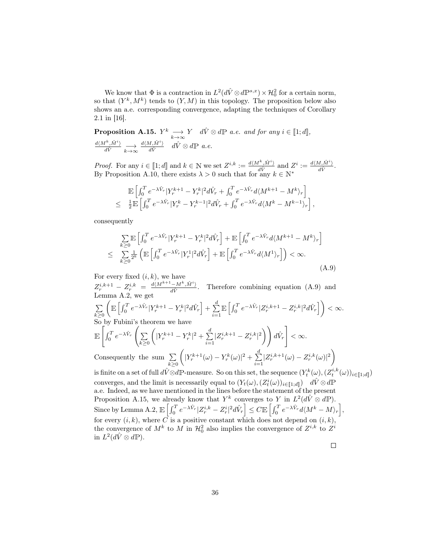We know that  $\Phi$  is a contraction in  $L^2(d\hat{V}\otimes d\mathbb{P}^{s,x})\times \mathcal{H}_0^2$  for a certain norm, so that  $(Y^k, M^k)$  tends to  $(Y, M)$  in this topology. The proposition below also shows an a.e. corresponding convergence, adapting the techniques of Corollary 2.1 in [16].

**Proposition A.15.**  $Y^k \longrightarrow_{k \to \infty} Y$  d $\hat{V} \otimes d\mathbb{P}$  a.e. and for any  $i \in [\![1;d]\!]$ ,  $\frac{d\langle M^k, \hat{M}^i\rangle}{d\hat{V}} \underset{k\to\infty}{\longrightarrow}$  $\frac{d\langle M,\hat{M}^i\rangle}{d\hat{V}} \quad d\hat{V} \otimes d\mathbb{P}$  a.e.

*Proof.* For any  $i \in [\![1;d]\!]$  and  $k \in \mathbb{N}$  we set  $Z^{i,k} := \frac{d\langle M^k, \hat{M}^i \rangle}{d\hat{V}}$  and  $Z^i := \frac{d\langle M, \hat{M}^i \rangle}{d\hat{V}}$ . By Proposition A.10, there exists  $\lambda > 0$  such that for any  $k \in \mathbb{N}^*$ 

$$
\mathbb{E}\left[\int_0^T e^{-\lambda \hat{V}_r} |Y_r^{k+1} - Y_r^{k}|^2 d\hat{V}_r + \int_0^T e^{-\lambda \hat{V}_r} d\langle M^{k+1} - M^k \rangle_r\right] \leq \frac{1}{2} \mathbb{E}\left[\int_0^T e^{-\lambda \hat{V}_r} |Y_r^{k} - Y_r^{k-1}|^2 d\hat{V}_r + \int_0^T e^{-\lambda \hat{V}_r} d\langle M^k - M^{k-1} \rangle_r\right],
$$

consequently

$$
\sum_{k\geq 0} \mathbb{E}\left[\int_0^T e^{-\lambda \hat{V}_r} |Y_r^{k+1} - Y_r^k|^2 d\hat{V}_r\right] + \mathbb{E}\left[\int_0^T e^{-\lambda \hat{V}_r} d\langle M^{k+1} - M^k \rangle_r\right]
$$
\n
$$
\leq \sum_{k\geq 0} \frac{1}{2^k} \left( \mathbb{E}\left[\int_0^T e^{-\lambda \hat{V}_r} |Y_r^1|^2 d\hat{V}_r\right] + \mathbb{E}\left[\int_0^T e^{-\lambda \hat{V}_r} d\langle M^1 \rangle_r\right] \right) < \infty.
$$
\n(A.9)

For every fixed  $(i, k)$ , we have

 $Z_r^{i,k+1} - Z_r^{i,k} = \frac{d\langle M^{k+1}-M^k, \hat{M}^i\rangle}{d\hat{V}}$ . Therefore combining equation (A.9) and Lemma A.2, we get

$$
\sum_{k\geq 0} \left( \mathbb{E}\left[ \int_0^T e^{-\lambda \hat{V}_r} |Y_r^{k+1} - Y_r^k|^2 d\hat{V}_r \right] + \sum_{i=1}^d \mathbb{E}\left[ \int_0^T e^{-\lambda \hat{V}_r} |Z_r^{i,k+1} - Z_r^{i,k}|^2 d\hat{V}_r \right] \right) < \infty.
$$
  
So by Fubini's theorem we have

So by Fubini's theorem we have 
$$
\int_{a}^{b} f(x) \, dx
$$

$$
\mathbb{E}\left[\int_0^T e^{-\lambda \hat{V}_r} \left(\sum_{k\geq 0} \left(|Y_r^{k+1} - Y_r^k|^2 + \sum_{i=1}^d |Z_r^{i,k+1} - Z_r^{i,k}|^2\right)\right) d\hat{V}_r\right] < \infty.
$$
  
Consequently the sum 
$$
\sum_{k\geq 0} \left(|Y_r^{k+1}(\omega) - Y_r^k(\omega)|^2 + \sum_{i=1}^d |Z_r^{i,k+1}(\omega) - Z_r^{i,k}(\omega)|^2\right)
$$

 $k\geq 0$ is finite on a set of full  $d\hat{V} \otimes d\mathbb{P}$ -measure. So on this set, the sequence  $(Y_t^k(\omega), (Z_t^{i,k}(\omega))_{i \in [\![ 1;d ]\!]})$ converges, and the limit is necessarily equal to  $(Y_t(\omega), (Z_t^i))$  $(\omega))_{i\in \llbracket 1;d\rrbracket})$  d $\hat{V}\otimes d\mathbb{P}$ a.e. Indeed, as we have mentioned in the lines before the statement of the present Proposition A.15, we already know that  $Y^k$  converges to Y in  $L^2(d\hat{V} \otimes d\mathbb{P})$ .  $\text{Since by Lemma A.2, } \mathbb{E}\left[\int_{0}^{T}e^{-\lambda \hat{V}_{r}}|Z_{r}^{i,k}-Z_{r}^{i}|^{2}d\hat{V}_{r}\right]\leq C\mathbb{E}\left[\int_{0}^{T}e^{-\lambda \hat{V}_{r}}d\langle M^{k}-M\rangle_{r}\right],$ for every  $(i, k)$ , where  $\overrightarrow{C}$  is a positive constant which does not depend on  $(i, k)$ , the convergence of  $M^k$  to M in  $\mathcal{H}^2_0$  also implies the convergence of  $Z^{i,k}$  to  $Z^i$ in  $L^2(d\hat{V}\otimes d\mathbb{P})$ .

 $\Box$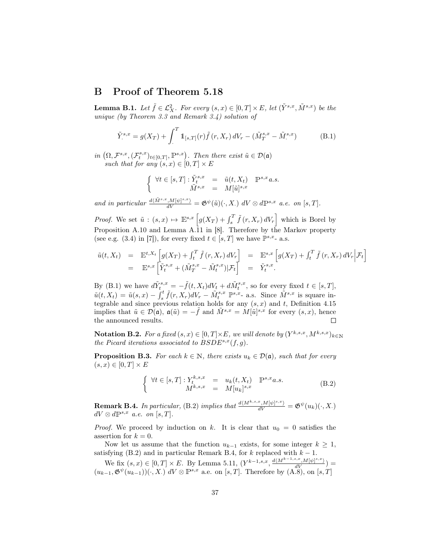### B Proof of Theorem 5.18

**Lemma B.1.** Let  $\tilde{f} \in \mathcal{L}_X^2$ . For every  $(s, x) \in [0, T] \times E$ , let  $(\tilde{Y}^{s,x}, \tilde{M}^{s,x})$  be the unique (by Theorem 3.3 and Remark 3.4) solution of

$$
\tilde{Y}_{.}^{s,x} = g(X_T) + \int_{.}^{T} 1\!\!1_{[s,T]}(r) \tilde{f}(r,X_r) dV_r - (\tilde{M}_T^{s,x} - \tilde{M}_.^{s,x})
$$
\n(B.1)

in  $(\Omega, \mathcal{F}^{s,x}, (\mathcal{F}^{s,x}_t)_{t \in [0,T]}, \mathbb{P}^{s,x})$ . Then there exist  $\tilde{u} \in \mathcal{D}(\mathfrak{a})$ such that for any  $(s, x) \in [0, T] \times E$ 

$$
\left\{ \begin{array}{rcl} \forall t \in [s,T]: \tilde{Y}^{s,x}_t &=& \tilde{u}(t,X_t) \quad \mathbb{P}^{s,x} a.s. \\ \tilde{M}^{s,x} &=& M[\tilde{u}]^{s,x} \end{array} \right.
$$

and in particular  $\frac{d\langle \tilde{M}^{s,x},M[\psi]^{s,x}\rangle}{dV} = \mathfrak{G}^{\psi}(\tilde{u})(\cdot,X) dV \otimes d\mathbb{P}^{s,x}$  a.e. on [s, T].

*Proof.* We set  $\tilde{u}$  :  $(s, x) \mapsto \mathbb{E}^{s, x} \left[ g(X_T) + \int_s^T \tilde{f}(r, X_r) dV_r \right]$  which is Borel by Proposition A.10 and Lemma A.11 in [8]. Therefore by the Markov property (see e.g. (3.4) in [7]), for every fixed  $t \in [s, T]$  we have  $\mathbb{P}^{s,x}$ - a.s.

$$
\tilde{u}(t, X_t) = \mathbb{E}^{t, X_t} \left[ g(X_T) + \int_t^T \tilde{f}(r, X_r) dV_r \right] = \mathbb{E}^{s, x} \left[ g(X_T) + \int_t^T \tilde{f}(r, X_r) dV_r \Big| \mathcal{F}_t \right]
$$
\n
$$
= \mathbb{E}^{s, x} \left[ \tilde{Y}_t^{s, x} + (\tilde{M}_T^{s, x} - \tilde{M}_t^{s, x}) | \mathcal{F}_t \right] = \tilde{Y}_t^{s, x}.
$$

By (B.1) we have  $d\tilde{Y}_{t}^{s,x} = -\tilde{f}(t,X_t)dV_t + d\tilde{M}_t^{s,x}$ , so for every fixed  $t \in [s,T]$ ,  $\tilde{u}(t, X_t) = \tilde{u}(s, x) - \int_s^t \tilde{f}(r, X_r) dV_r - \tilde{M}_t^{s, x} \; \mathbb{P}^{s, x}$ - a.s. Since  $\tilde{M}^{s, x}$  is square integrable and since previous relation holds for any  $(s, x)$  and t, Definition 4.15 implies that  $\tilde{u} \in \mathcal{D}(\mathfrak{a})$ ,  $\mathfrak{a}(\tilde{u}) = -\tilde{f}$  and  $\tilde{M}^{s,x} = M[\tilde{u}]^{s,x}$  for every  $(s, x)$ , hence the announced results.

Notation B.2. For a fixed  $(s, x) \in [0, T] \times E$ , we will denote by  $(Y^{k, s, x}, M^{k, s, x})_{k \in \mathbb{N}}$  $^{k,s,x}, M^{k,s,x})_{k\in\mathbb{N}}$ the Picard iterations associated to  $BSDE^{s,x}(f, g)$ .

**Proposition B.3.** For each  $k \in \mathbb{N}$ , there exists  $u_k \in \mathcal{D}(\mathfrak{a})$ , such that for every  $(s, x) \in [0, T] \times E$ 

$$
\begin{cases} \forall t \in [s, T] : Y_t^{k, s, x} = u_k(t, X_t) \quad \mathbb{P}^{s, x} a.s. \\ M^{k, s, x} = M[u_k]^{s, x} \end{cases}
$$
 (B.2)

**Remark B.4.** In particular, (B.2) implies that  $\frac{d\langle M^{k,s,x},M[\psi]^{s,x}\rangle}{dV} = \mathfrak{G}^{\psi}(u_k)(\cdot,X)$  $dV \otimes d\mathbb{P}^{s,x}$  a.e. on  $[s,T]$ .

*Proof.* We proceed by induction on k. It is clear that  $u_0 = 0$  satisfies the assertion for  $k = 0$ .

Now let us assume that the function  $u_{k-1}$  exists, for some integer  $k \geq 1$ , satisfying (B.2) and in particular Remark B.4, for k replaced with  $k - 1$ .

We fix  $(s, x) \in [0, T] \times E$ . By Lemma 5.11,  $(Y^{k-1,s,x}, \frac{d(M^{k-1,s,x}, M[\psi]^{s,x})}{dV}) =$  $(u_{k-1}, \mathfrak{G}^{\psi}(u_{k-1}))(\cdot, X) dV \otimes \mathbb{P}^{s,x}$  a.e. on [s, T]. Therefore by  $(A.8)$ , on [s, T]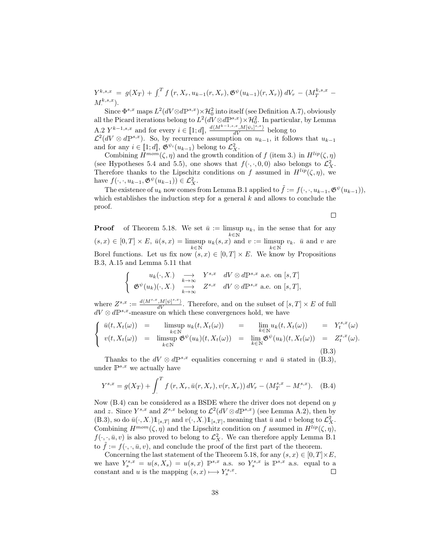$Y^{k,s,x} \;=\; g(X_T) \,+\, \int_{\cdot}^{T} f\left(r, X_r, u_{k-1}(r, X_r), \mathfrak{G}^{\psi}(u_{k-1})(r, X_r)\right) dV_r \,-\, (M_T^{k,s,x} \,-\, \nonumber$  $M^{k,s,x}_{\cdot}).$ 

Since  $\Phi^{s,x}$  maps  $L^2(dV \otimes d\mathbb{P}^{s,x}) \times \mathcal{H}_0^2$  into itself (see Definition A.7), obviously all the Picard iterations belong to  $L^2(dV \otimes d\mathbb{P}^{s,x}) \times \mathcal{H}_0^2$ . In particular, by Lemma A.2  $Y^{k-1,s,x}$  and for every  $i \in [\![1;d]\!], \frac{d(M^{k-1,s,x},M[\psi_i]^{s,x})}{dV}$  belong to  $\mathcal{L}^2(dV \otimes d\mathbb{P}^{s,x})$ . So, by recurrence assumption on  $u_{k-1}$ , it follows that  $u_{k-1}$ and for any  $i \in [\![1;d]\!], \mathfrak{G}^{\psi_i}(u_{k-1})$  belong to  $\mathcal{L}^2_X$ .

Combining  $H^{mom}(\zeta, \eta)$  and the growth condition of f (item 3.) in  $H^{lip}(\zeta, \eta)$ (see Hypotheses 5.4 and 5.5), one shows that  $f(\cdot, \cdot, 0, 0)$  also belongs to  $\mathcal{L}_X^2$ . Therefore thanks to the Lipschitz conditions on f assumed in  $H^{lip}(\zeta, \eta)$ , we have  $f(\cdot, \cdot, u_{k-1}, \mathfrak{G}^{\psi}(u_{k-1})) \in \mathcal{L}_X^2$ .

The existence of  $u_k$  now comes from Lemma B.1 applied to  $\tilde{f} := f(\cdot, \cdot, u_{k-1}, \mathfrak{G}^{\psi}(u_{k-1})),$ which establishes the induction step for a general  $k$  and allows to conclude the proof.

 $\Box$ 

**Proof** of Theorem 5.18. We set  $\bar{u} :=$  limsup  $u_k$ , in the sense that for any  $(s, x) \in [0, T] \times E$ ,  $\bar{u}(s, x) = \limsup_{k \in \mathbb{N}} u_k(s, x)$  and  $v := \limsup_{k \in \mathbb{N}} v_k$ .  $\bar{u}$  and  $v$  are Borel functions. Let us fix now  $(s, x) \in [0, T] \times E$ . We know by Propositions B.3, A.15 and Lemma 5.11 that

$$
\begin{cases}\n u_k(\cdot, X.) &\longrightarrow& Y^{s,x} \quad dV \otimes d\mathbb{P}^{s,x} \text{ a.e. on } [s,T] \\
 \mathfrak{G}^{\psi}(u_k)(\cdot, X.) &\longrightarrow& Z^{s,x} \quad dV \otimes d\mathbb{P}^{s,x} \text{ a.e. on } [s,T],\n\end{cases}
$$

where  $Z^{s,x} := \frac{d\langle M^{s,x},M[\psi]^{s,x}\rangle}{dV}$ . Therefore, and on the subset of  $[s,T] \times E$  of full  $dV \otimes d\mathbb{P}^{s,x}$ -measure on which these convergences hold, we have

$$
\begin{cases}\n\bar{u}(t, X_t(\omega)) = \limsup_{k \in \mathbb{N}} u_k(t, X_t(\omega)) = \limsup_{k \in \mathbb{N}} u_k(t, X_t(\omega)) = Y_t^{s,x}(\omega) \\
v(t, X_t(\omega)) = \limsup_{k \in \mathbb{N}} \mathfrak{G}^{\psi}(u_k)(t, X_t(\omega)) = \lim_{k \in \mathbb{N}} \mathfrak{G}^{\psi}(u_k)(t, X_t(\omega)) = Z_t^{s,x}(\omega).\n\end{cases}
$$
\n(B.3)

Thanks to the  $dV \otimes d\mathbb{P}^{s,x}$  equalities concerning v and  $\bar{u}$  stated in (B.3), under  $\mathbb{P}^{s,x}$  we actually have

$$
Y^{s,x} = g(X_T) + \int_{.}^{T} f(r, X_r, \bar{u}(r, X_r), v(r, X_r)) dV_r - (M_T^{s,x} - M^{s,x}).
$$
 (B.4)

Now  $(B.4)$  can be considered as a BSDE where the driver does not depend on y and z. Since  $Y^{s,x}$  and  $Z^{s,x}$  belong to  $\mathcal{L}^2(dV \otimes dP^{s,x})$  (see Lemma A.2), then by (B.3), so do  $\bar{u}(\cdot, X) 1\!\!1_{[s,T]}$  and  $v(\cdot, X) 1\!\!1_{[s,T]}$ , meaning that  $\bar{u}$  and v belong to  $\mathcal{L}_X^2$ . Combining  $H^{mom}(\zeta, \eta)$  and the Lipschitz condition on f assumed in  $H^{lip}(\zeta, \eta)$ ,  $f(\cdot, \cdot, \bar{u}, v)$  is also proved to belong to  $\mathcal{L}_X^2$ . We can therefore apply Lemma B.1 to  $f := f(\cdot, \cdot, \bar{u}, v)$ , and conclude the proof of the first part of the theorem.

Concerning the last statement of the Theorem 5.18, for any  $(s, x) \in [0, T] \times E$ , we have  $Y_s^{s,x} = u(s,X_s) = u(s,x) \, \mathbb{P}^{s,x}$  a.s. so  $Y_s^{s,x}$  is  $\mathbb{P}^{s,x}$  a.s. equal to a constant and u is the mapping  $(s, x) \longmapsto Y_s^{s,x}$ .  $\Box$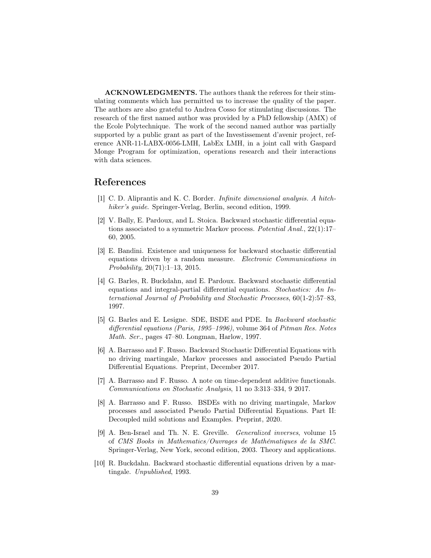ACKNOWLEDGMENTS. The authors thank the referees for their stimulating comments which has permitted us to increase the quality of the paper. The authors are also grateful to Andrea Cosso for stimulating discussions. The research of the first named author was provided by a PhD fellowship (AMX) of the Ecole Polytechnique. The work of the second named author was partially supported by a public grant as part of the Investissement d'avenir project, reference ANR-11-LABX-0056-LMH, LabEx LMH, in a joint call with Gaspard Monge Program for optimization, operations research and their interactions with data sciences.

### References

- [1] C. D. Aliprantis and K. C. Border. Infinite dimensional analysis. A hitchhiker's guide. Springer-Verlag, Berlin, second edition, 1999.
- [2] V. Bally, E. Pardoux, and L. Stoica. Backward stochastic differential equations associated to a symmetric Markov process. Potential Anal., 22(1):17– 60, 2005.
- [3] E. Bandini. Existence and uniqueness for backward stochastic differential equations driven by a random measure. Electronic Communications in Probability, 20(71):1–13, 2015.
- [4] G. Barles, R. Buckdahn, and E. Pardoux. Backward stochastic differential equations and integral-partial differential equations. Stochastics: An International Journal of Probability and Stochastic Processes, 60(1-2):57–83, 1997.
- [5] G. Barles and E. Lesigne. SDE, BSDE and PDE. In Backward stochastic differential equations (Paris, 1995–1996), volume 364 of Pitman Res. Notes Math. Ser., pages 47–80. Longman, Harlow, 1997.
- [6] A. Barrasso and F. Russo. Backward Stochastic Differential Equations with no driving martingale, Markov processes and associated Pseudo Partial Differential Equations. Preprint, December 2017.
- [7] A. Barrasso and F. Russo. A note on time-dependent additive functionals. Communications on Stochastic Analysis, 11 no 3:313–334, 9 2017.
- [8] A. Barrasso and F. Russo. BSDEs with no driving martingale, Markov processes and associated Pseudo Partial Differential Equations. Part II: Decoupled mild solutions and Examples. Preprint, 2020.
- [9] A. Ben-Israel and Th. N. E. Greville. Generalized inverses, volume 15 of CMS Books in Mathematics/Ouvrages de Mathématiques de la SMC. Springer-Verlag, New York, second edition, 2003. Theory and applications.
- [10] R. Buckdahn. Backward stochastic differential equations driven by a martingale. Unpublished, 1993.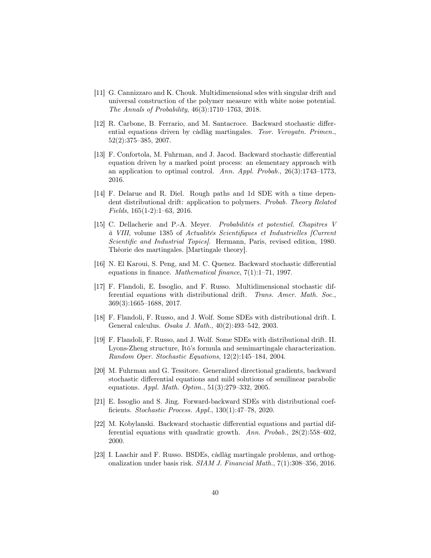- [11] G. Cannizzaro and K. Chouk. Multidimensional sdes with singular drift and universal construction of the polymer measure with white noise potential. The Annals of Probability, 46(3):1710–1763, 2018.
- [12] R. Carbone, B. Ferrario, and M. Santacroce. Backward stochastic differential equations driven by càdlàg martingales. Teor. Veroyatn. Primen., 52(2):375–385, 2007.
- [13] F. Confortola, M. Fuhrman, and J. Jacod. Backward stochastic differential equation driven by a marked point process: an elementary approach with an application to optimal control. Ann. Appl. Probab., 26(3):1743–1773, 2016.
- [14] F. Delarue and R. Diel. Rough paths and 1d SDE with a time dependent distributional drift: application to polymers. Probab. Theory Related Fields, 165(1-2):1–63, 2016.
- [15] C. Dellacherie and P.-A. Meyer. Probabilités et potentiel. Chapitres V à VIII, volume 1385 of Actualités Scientifiques et Industrielles [Current Scientific and Industrial Topics]. Hermann, Paris, revised edition, 1980. Théorie des martingales. [Martingale theory].
- [16] N. El Karoui, S. Peng, and M. C. Quenez. Backward stochastic differential equations in finance. Mathematical finance, 7(1):1–71, 1997.
- [17] F. Flandoli, E. Issoglio, and F. Russo. Multidimensional stochastic differential equations with distributional drift. Trans. Amer. Math. Soc., 369(3):1665–1688, 2017.
- [18] F. Flandoli, F. Russo, and J. Wolf. Some SDEs with distributional drift. I. General calculus. Osaka J. Math., 40(2):493–542, 2003.
- [19] F. Flandoli, F. Russo, and J. Wolf. Some SDEs with distributional drift. II. Lyons-Zheng structure, Itô's formula and semimartingale characterization. Random Oper. Stochastic Equations, 12(2):145–184, 2004.
- [20] M. Fuhrman and G. Tessitore. Generalized directional gradients, backward stochastic differential equations and mild solutions of semilinear parabolic equations. Appl. Math. Optim., 51(3):279–332, 2005.
- [21] E. Issoglio and S. Jing. Forward-backward SDEs with distributional coefficients. Stochastic Process. Appl., 130(1):47–78, 2020.
- [22] M. Kobylanski. Backward stochastic differential equations and partial differential equations with quadratic growth. Ann. Probab., 28(2):558–602, 2000.
- [23] I. Laachir and F. Russo. BSDEs, càdlàg martingale problems, and orthogonalization under basis risk. SIAM J. Financial Math., 7(1):308–356, 2016.